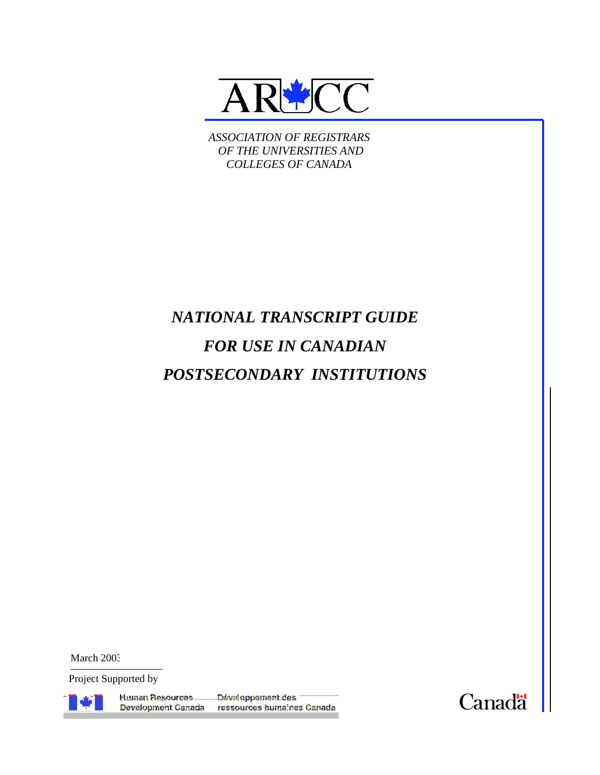

*ASSOCIATION OF REGISTRARS OF THE UNIVERSITIES AND COLLEGES OF CANADA*

# *NATIONAL TRANSCRIPT GUIDE FOR USE IN CANADIAN POSTSECONDARY INSTITUTIONS*

March 2003

Project Supported by



Human Resources \_\_ Développement des Development Canada ressources humaines Canada

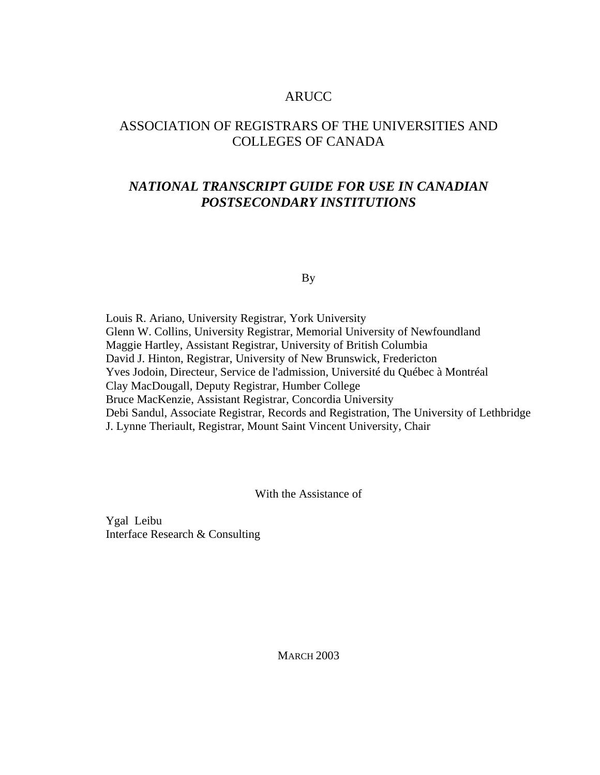# ARUCC

# ASSOCIATION OF REGISTRARS OF THE UNIVERSITIES AND COLLEGES OF CANADA

# *NATIONAL TRANSCRIPT GUIDE FOR USE IN CANADIAN POSTSECONDARY INSTITUTIONS*

By

Louis R. Ariano, University Registrar, York University Glenn W. Collins, University Registrar, Memorial University of Newfoundland Maggie Hartley, Assistant Registrar, University of British Columbia David J. Hinton, Registrar, University of New Brunswick, Fredericton Yves Jodoin, Directeur, Service de l'admission, Université du Québec à Montréal Clay MacDougall, Deputy Registrar, Humber College Bruce MacKenzie, Assistant Registrar, Concordia University Debi Sandul, Associate Registrar, Records and Registration, The University of Lethbridge J. Lynne Theriault, Registrar, Mount Saint Vincent University, Chair

With the Assistance of

Ygal Leibu Interface Research & Consulting

**MARCH 2003**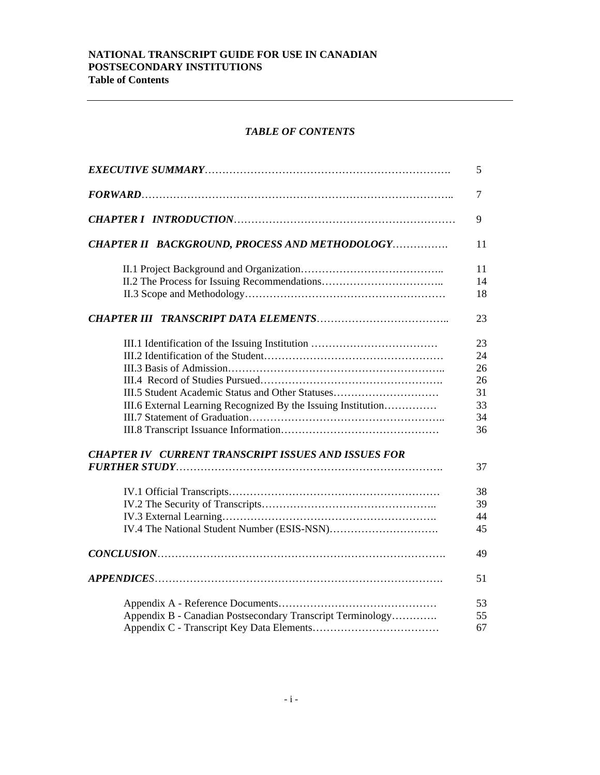#### **NATIONAL TRANSCRIPT GUIDE FOR USE IN CANADIAN POSTSECONDARY INSTITUTIONS Table of Contents**

# *TABLE OF CONTENTS*

|                                                               | 5  |
|---------------------------------------------------------------|----|
|                                                               | 7  |
|                                                               | 9  |
| CHAPTER II BACKGROUND, PROCESS AND METHODOLOGY                | 11 |
|                                                               | 11 |
|                                                               | 14 |
|                                                               | 18 |
|                                                               | 23 |
|                                                               | 23 |
|                                                               | 24 |
|                                                               | 26 |
|                                                               | 26 |
| III.5 Student Academic Status and Other Statuses              | 31 |
| III.6 External Learning Recognized By the Issuing Institution | 33 |
|                                                               | 34 |
|                                                               | 36 |
| <b>CHAPTER IV CURRENT TRANSCRIPT ISSUES AND ISSUES FOR</b>    |    |
|                                                               | 37 |
|                                                               | 38 |
|                                                               | 39 |
|                                                               | 44 |
|                                                               | 45 |
|                                                               | 49 |
|                                                               | 51 |
|                                                               | 53 |
| Appendix B - Canadian Postsecondary Transcript Terminology    | 55 |
|                                                               | 67 |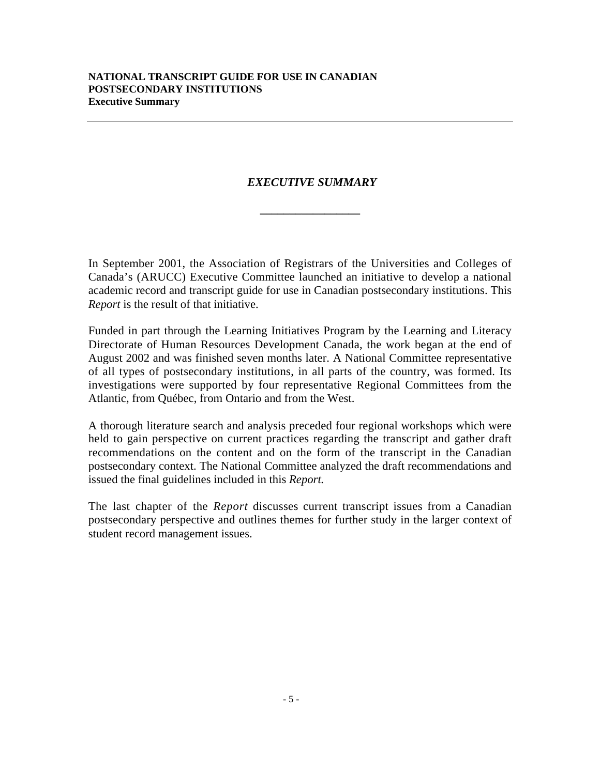# *EXECUTIVE SUMMARY*

*\_\_\_\_\_\_\_\_\_\_\_\_\_\_\_\_\_*

In September 2001, the Association of Registrars of the Universities and Colleges of Canada's (ARUCC) Executive Committee launched an initiative to develop a national academic record and transcript guide for use in Canadian postsecondary institutions. This *Report* is the result of that initiative.

Funded in part through the Learning Initiatives Program by the Learning and Literacy Directorate of Human Resources Development Canada, the work began at the end of August 2002 and was finished seven months later. A National Committee representative of all types of postsecondary institutions, in all parts of the country, was formed. Its investigations were supported by four representative Regional Committees from the Atlantic, from Québec, from Ontario and from the West.

A thorough literature search and analysis preceded four regional workshops which were held to gain perspective on current practices regarding the transcript and gather draft recommendations on the content and on the form of the transcript in the Canadian postsecondary context. The National Committee analyzed the draft recommendations and issued the final guidelines included in this *Report.*

The last chapter of the *Report* discusses current transcript issues from a Canadian postsecondary perspective and outlines themes for further study in the larger context of student record management issues.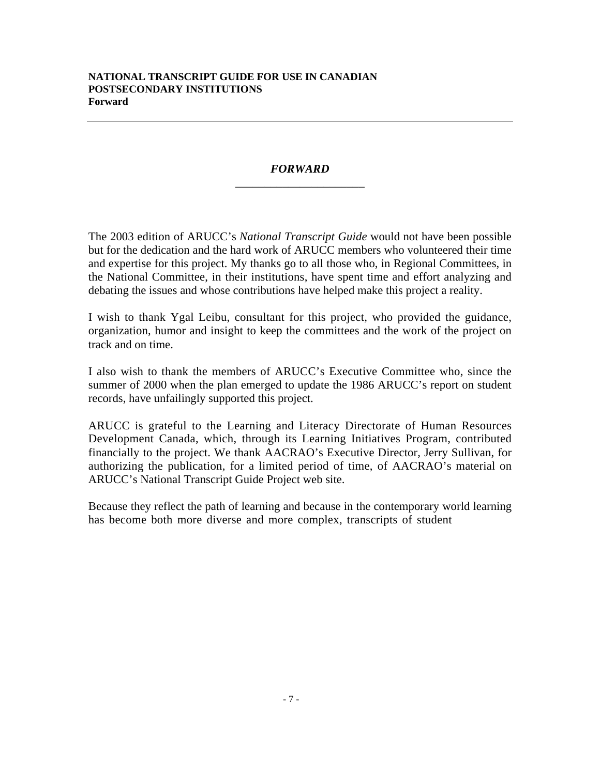# *FORWARD* \_\_\_\_\_\_\_\_\_\_\_\_\_\_\_\_\_\_\_\_\_\_

The 2003 edition of ARUCC's *National Transcript Guide* would not have been possible but for the dedication and the hard work of ARUCC members who volunteered their time and expertise for this project. My thanks go to all those who, in Regional Committees, in the National Committee, in their institutions, have spent time and effort analyzing and debating the issues and whose contributions have helped make this project a reality. **correlation** of the system of the system of the system of the system of the system of the system of the system of the system of the system of the system of the system of the system of the system of the system of the syst **SATTISNAT TRANSPORT CURRENT CONTRACT CANADIAN**<br>**FORTSECONDARY INSTITUTIONS**<br>**FORTSECONDARY INSTITUTIONS**<br>**FORTSECONDARY INSTITUTIONS**<br>**FORTSECOND** (**Similar ARES)**  $\mathbf{F}(\mathbf{X}|\mathbf{W}) = \mathbf{F}(\mathbf{X}|\mathbf{W})$  and  $\mathbf{F}(\mathbf{X$ **NACCE Solutional Evensoript Quide xo Ald n**<br> **NACCE Solutional Evensoript Quide xo Ald n** SATIONAL TRANSCRITY CHIRE FOR USE IN CANADIAN<br>
FROM HOSTER CONTRAP<br>
FROM HOSTER AND <br>
FROM HERE AND THE CONTRAPY<br>
THE 2003 WHOME OF INSTERT COMMITTEE CONTRAPY<br>
THE CONSULTION OF THE CONTRAPY CONTRAPY CONTRAPY CONTRAPY CON

I wish to thank Ygal Leibu, consultant for this project, who provided the guidance, organization, humor and insight to keep the committees and the work of the project on track and on time.

I also wish to thank the members of ARUCC's Executive Committee who, since the summer of 2000 when the plan emerged to update the 1986 ARUCC's report on student records, have unfailingly supported this project.

ARUCC is grateful to the Learning and Literacy Directorate of Human Resources Development Canada, which, through its Learning Initiatives Program, contributed financially to the project. We thank AACRAO's Executive Director, Jerry Sullivan, for authorizing the publication, for a limited period of time, of AACRAO's material on ARUCC's National Transcript Guide Project web site.

Because they reflect the path of learning and because in the contemporary world learning has become both more diverse and more complex, transcripts of student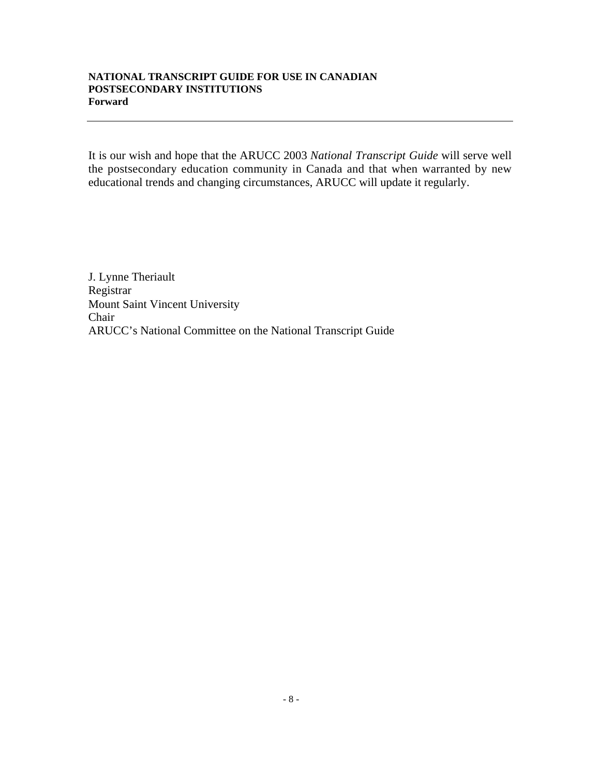#### **NATIONAL TRANSCRIPT GUIDE FOR USE IN CANADIAN POSTSECONDARY INSTITUTIONS Forward**

It is our wish and hope that the ARUCC 2003 *National Transcript Guide* will serve well the postsecondary education community in Canada and that when warranted by new educational trends and changing circumstances, ARUCC will update it regularly.

J. Lynne Theriault Registrar Mount Saint Vincent University Chair ARUCC's National Committee on the National Transcript Guide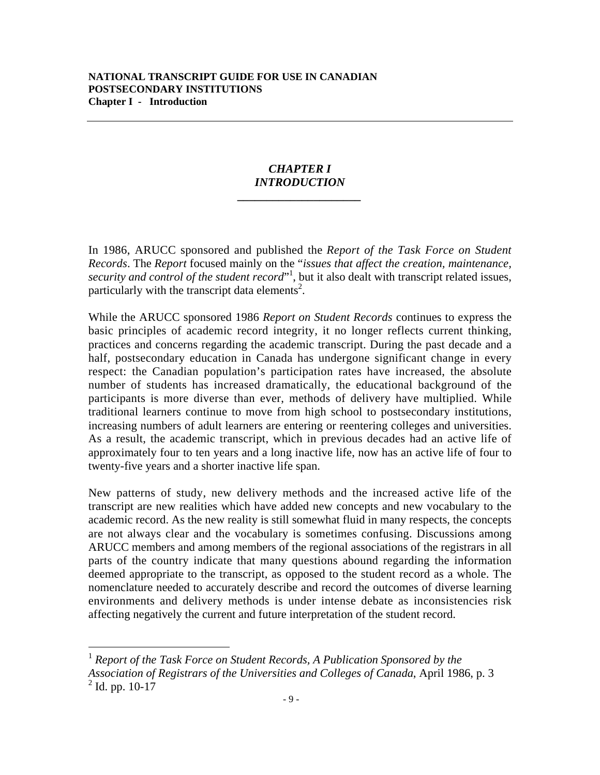### *CHAPTER I INTRODUCTION*

*\_\_\_\_\_\_\_\_\_\_\_\_\_\_\_\_\_\_\_\_\_*

In 1986, ARUCC sponsored and published the *Report of the Task Force on Student Records*. The *Report* focused mainly on the "*issues that affect the creation, maintenance,* security and control of the student record<sup>"1</sup>, but it also dealt with transcript related issues, particularly with the transcript data elements<sup>2</sup>.

While the ARUCC sponsored 1986 *Report on Student Records* continues to express the basic principles of academic record integrity, it no longer reflects current thinking, practices and concerns regarding the academic transcript. During the past decade and a half, postsecondary education in Canada has undergone significant change in every respect: the Canadian population's participation rates have increased, the absolute number of students has increased dramatically, the educational background of the participants is more diverse than ever, methods of delivery have multiplied. While traditional learners continue to move from high school to postsecondary institutions, increasing numbers of adult learners are entering or reentering colleges and universities. As a result, the academic transcript, which in previous decades had an active life of approximately four to ten years and a long inactive life, now has an active life of four to twenty-five years and a shorter inactive life span.

New patterns of study, new delivery methods and the increased active life of the transcript are new realities which have added new concepts and new vocabulary to the academic record. As the new reality is still somewhat fluid in many respects, the concepts are not always clear and the vocabulary is sometimes confusing. Discussions among ARUCC members and among members of the regional associations of the registrars in all parts of the country indicate that many questions abound regarding the information deemed appropriate to the transcript, as opposed to the student record as a whole. The nomenclature needed to accurately describe and record the outcomes of diverse learning environments and delivery methods is under intense debate as inconsistencies risk affecting negatively the current and future interpretation of the student record.

 <sup>1</sup> *Report of the Task Force on Student Records, A Publication Sponsored by the Association of Registrars of the Universities and Colleges of Canada*, April 1986, p. 3  $2$  Id. pp. 10-17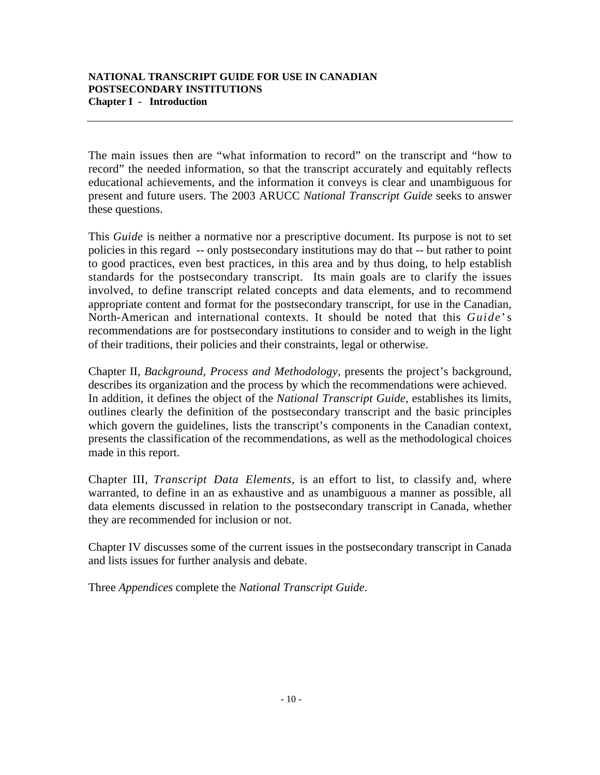The main issues then are "what information to record" on the transcript and "how to record" the needed information, so that the transcript accurately and equitably reflects educational achievements, and the information it conveys is clear and unambiguous for present and future users. The 2003 ARUCC *National Transcript Guide* seeks to answer these questions.

This *Guide* is neither a normative nor a prescriptive document. Its purpose is not to set policies in this regard -- only postsecondary institutions may do that -- but rather to point to good practices, even best practices, in this area and by thus doing, to help establish standards for the postsecondary transcript. Its main goals are to clarify the issues involved, to define transcript related concepts and data elements, and to recommend appropriate content and format for the postsecondary transcript, for use in the Canadian, North-American and international contexts. It should be noted that this *Guide*' s recommendations are for postsecondary institutions to consider and to weigh in the light of their traditions, their policies and their constraints, legal or otherwise.

Chapter II, *Background, Process and Methodology*, presents the project's background, describes its organization and the process by which the recommendations were achieved. In addition, it defines the object of the *National Transcript Guide,* establishes its limits, outlines clearly the definition of the postsecondary transcript and the basic principles which govern the guidelines, lists the transcript's components in the Canadian context, presents the classification of the recommendations, as well as the methodological choices made in this report.

Chapter III, *Transcript Data Elements*, is an effort to list, to classify and, where warranted, to define in an as exhaustive and as unambiguous a manner as possible, all data elements discussed in relation to the postsecondary transcript in Canada, whether they are recommended for inclusion or not.

Chapter IV discusses some of the current issues in the postsecondary transcript in Canada and lists issues for further analysis and debate.

Three *Appendices* complete the *National Transcript Guide*.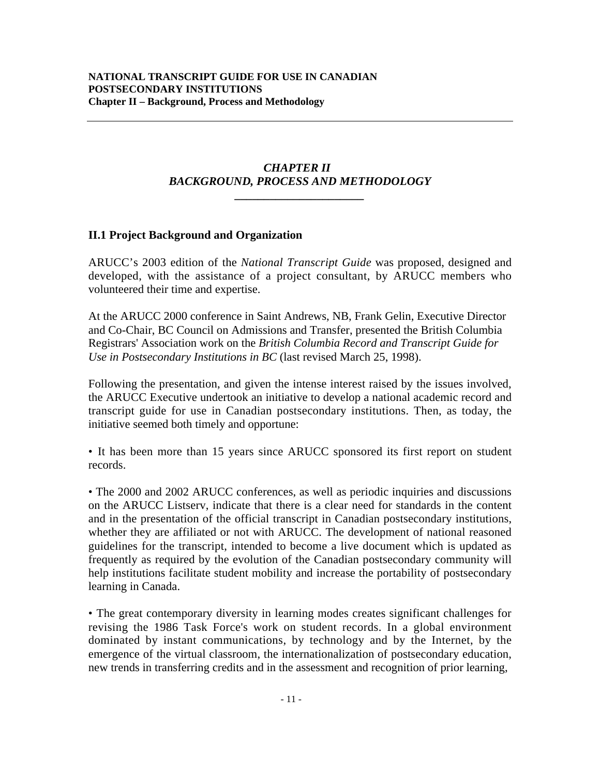# *CHAPTER II BACKGROUND, PROCESS AND METHODOLOGY*

*\_\_\_\_\_\_\_\_\_\_\_\_\_\_\_\_\_\_\_\_\_\_*

# **II.1 Project Background and Organization**

ARUCC's 2003 edition of the *National Transcript Guide* was proposed, designed and developed, with the assistance of a project consultant, by ARUCC members who volunteered their time and expertise.

At the ARUCC 2000 conference in Saint Andrews, NB, Frank Gelin, Executive Director and Co-Chair, BC Council on Admissions and Transfer, presented the British Columbia Registrars' Association work on the *British Columbia Record and Transcript Guide for Use in Postsecondary Institutions in BC* (last revised March 25, 1998).

Following the presentation, and given the intense interest raised by the issues involved, the ARUCC Executive undertook an initiative to develop a national academic record and transcript guide for use in Canadian postsecondary institutions. Then, as today, the initiative seemed both timely and opportune:

• It has been more than 15 years since ARUCC sponsored its first report on student records.

• The 2000 and 2002 ARUCC conferences, as well as periodic inquiries and discussions on the ARUCC Listserv, indicate that there is a clear need for standards in the content and in the presentation of the official transcript in Canadian postsecondary institutions, whether they are affiliated or not with ARUCC. The development of national reasoned guidelines for the transcript, intended to become a live document which is updated as frequently as required by the evolution of the Canadian postsecondary community will help institutions facilitate student mobility and increase the portability of postsecondary learning in Canada.

• The great contemporary diversity in learning modes creates significant challenges for revising the 1986 Task Force's work on student records. In a global environment dominated by instant communications, by technology and by the Internet, by the emergence of the virtual classroom, the internationalization of postsecondary education, new trends in transferring credits and in the assessment and recognition of prior learning,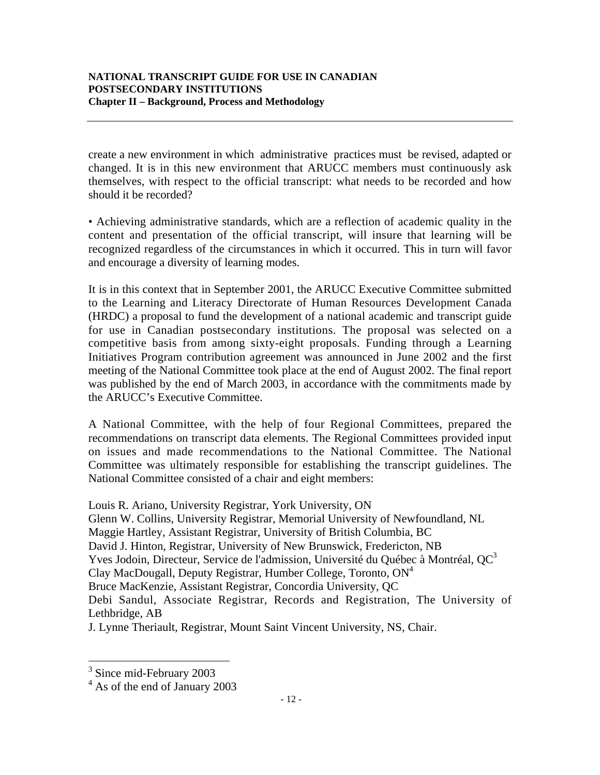create a new environment in which administrative practices must be revised, adapted or changed. It is in this new environment that ARUCC members must continuously ask themselves, with respect to the official transcript: what needs to be recorded and how should it be recorded?

• Achieving administrative standards, which are a reflection of academic quality in the content and presentation of the official transcript, will insure that learning will be recognized regardless of the circumstances in which it occurred. This in turn will favor and encourage a diversity of learning modes.

It is in this context that in September 2001, the ARUCC Executive Committee submitted to the Learning and Literacy Directorate of Human Resources Development Canada (HRDC) a proposal to fund the development of a national academic and transcript guide for use in Canadian postsecondary institutions. The proposal was selected on a competitive basis from among sixty-eight proposals. Funding through a Learning Initiatives Program contribution agreement was announced in June 2002 and the first meeting of the National Committee took place at the end of August 2002. The final report was published by the end of March 2003, in accordance with the commitments made by the ARUCC's Executive Committee.

A National Committee, with the help of four Regional Committees, prepared the recommendations on transcript data elements. The Regional Committees provided input on issues and made recommendations to the National Committee. The National Committee was ultimately responsible for establishing the transcript guidelines. The National Committee consisted of a chair and eight members:

Louis R. Ariano, University Registrar, York University, ON Glenn W. Collins, University Registrar, Memorial University of Newfoundland, NL Maggie Hartley, Assistant Registrar, University of British Columbia, BC David J. Hinton, Registrar, University of New Brunswick, Fredericton, NB Yves Jodoin, Directeur, Service de l'admission, Université du Québec à Montréal, QC<sup>3</sup> Clay MacDougall, Deputy Registrar, Humber College, Toronto,  $ON^4$ Bruce MacKenzie, Assistant Registrar, Concordia University, QC Debi Sandul, Associate Registrar, Records and Registration, The University of Lethbridge, AB

J. Lynne Theriault, Registrar, Mount Saint Vincent University, NS, Chair.

<sup>&</sup>lt;sup>3</sup> Since mid-February 2003

<sup>4</sup> As of the end of January 2003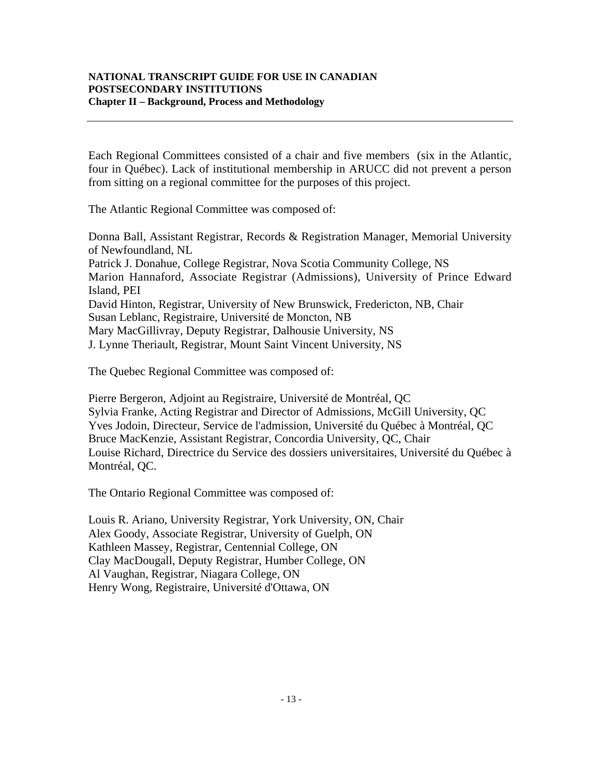Each Regional Committees consisted of a chair and five members (six in the Atlantic, four in Québec). Lack of institutional membership in ARUCC did not prevent a person from sitting on a regional committee for the purposes of this project.

The Atlantic Regional Committee was composed of:

Donna Ball, Assistant Registrar, Records & Registration Manager, Memorial University of Newfoundland, NL Patrick J. Donahue, College Registrar, Nova Scotia Community College, NS

Marion Hannaford, Associate Registrar (Admissions), University of Prince Edward Island, PEI David Hinton, Registrar, University of New Brunswick, Fredericton, NB, Chair

Susan Leblanc, Registraire, Université de Moncton, NB

Mary MacGillivray, Deputy Registrar, Dalhousie University, NS

J. Lynne Theriault, Registrar, Mount Saint Vincent University, NS

The Quebec Regional Committee was composed of:

Pierre Bergeron, Adjoint au Registraire, Université de Montréal, QC Sylvia Franke, Acting Registrar and Director of Admissions, McGill University, QC Yves Jodoin, Directeur, Service de l'admission, Université du Québec à Montréal, QC Bruce MacKenzie, Assistant Registrar, Concordia University, QC, Chair Louise Richard, Directrice du Service des dossiers universitaires, Université du Québec à Montréal, QC.

The Ontario Regional Committee was composed of:

Louis R. Ariano, University Registrar, York University, ON, Chair Alex Goody, Associate Registrar, University of Guelph, ON Kathleen Massey, Registrar, Centennial College, ON Clay MacDougall, Deputy Registrar, Humber College, ON Al Vaughan, Registrar, Niagara College, ON Henry Wong, Registraire, Université d'Ottawa, ON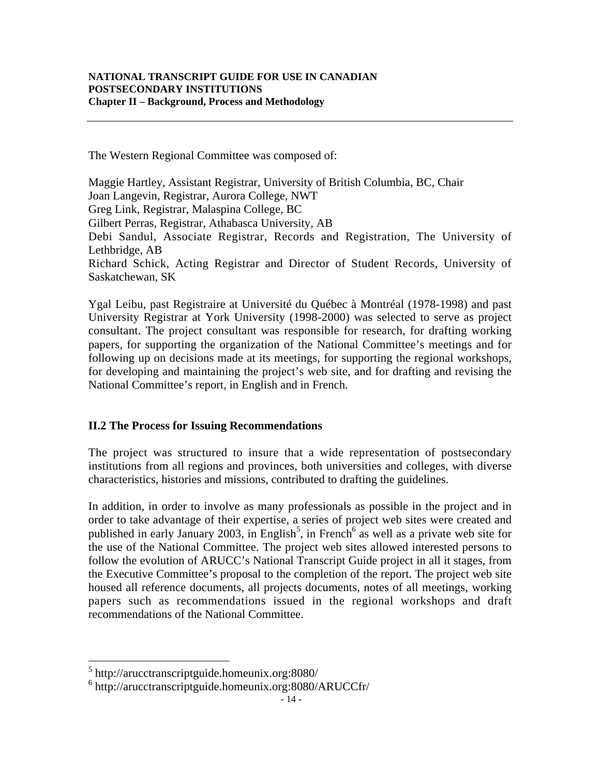The Western Regional Committee was composed of:

Maggie Hartley, Assistant Registrar, University of British Columbia, BC, Chair Joan Langevin, Registrar, Aurora College, NWT Greg Link, Registrar, Malaspina College, BC Gilbert Perras, Registrar, Athabasca University, AB Debi Sandul, Associate Registrar, Records and Registration, The University of Lethbridge, AB Richard Schick, Acting Registrar and Director of Student Records, University of Saskatchewan, SK

Ygal Leibu, past Registraire at Université du Québec à Montréal (1978-1998) and past University Registrar at York University (1998-2000) was selected to serve as project consultant. The project consultant was responsible for research, for drafting working papers, for supporting the organization of the National Committee's meetings and for following up on decisions made at its meetings, for supporting the regional workshops, for developing and maintaining the project's web site, and for drafting and revising the National Committee's report, in English and in French.

#### **II.2 The Process for Issuing Recommendations**

The project was structured to insure that a wide representation of postsecondary institutions from all regions and provinces, both universities and colleges, with diverse characteristics, histories and missions, contributed to drafting the guidelines.

In addition, in order to involve as many professionals as possible in the project and in order to take advantage of their expertise, a series of project web sites were created and published in early January 2003, in English<sup>5</sup>, in French<sup>6</sup> as well as a private web site for the use of the National Committee. The project web sites allowed interested persons to follow the evolution of ARUCC's National Transcript Guide project in all it stages, from the Executive Committee's proposal to the completion of the report. The project web site housed all reference documents, all projects documents, notes of all meetings, working papers such as recommendations issued in the regional workshops and draft recommendations of the National Committee.

 <sup>5</sup> http://arucctranscriptguide.homeunix.org:8080/

<sup>6</sup> http://arucctranscriptguide.homeunix.org:8080/ARUCCfr/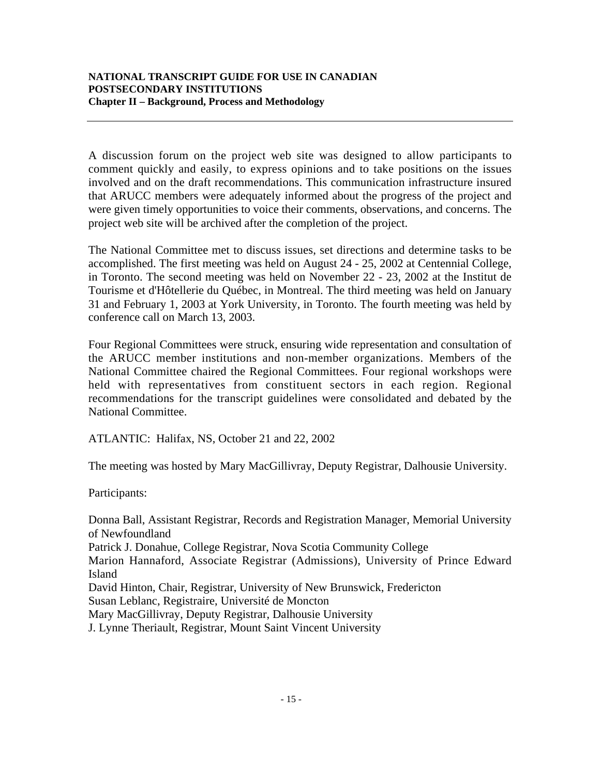A discussion forum on the project web site was designed to allow participants to comment quickly and easily, to express opinions and to take positions on the issues involved and on the draft recommendations. This communication infrastructure insured that ARUCC members were adequately informed about the progress of the project and were given timely opportunities to voice their comments, observations, and concerns. The project web site will be archived after the completion of the project.

The National Committee met to discuss issues, set directions and determine tasks to be accomplished. The first meeting was held on August 24 - 25, 2002 at Centennial College, in Toronto. The second meeting was held on November 22 - 23, 2002 at the Institut de Tourisme et d'Hôtellerie du Québec, in Montreal. The third meeting was held on January 31 and February 1, 2003 at York University, in Toronto. The fourth meeting was held by conference call on March 13, 2003.

Four Regional Committees were struck, ensuring wide representation and consultation of the ARUCC member institutions and non-member organizations. Members of the National Committee chaired the Regional Committees. Four regional workshops were held with representatives from constituent sectors in each region. Regional recommendations for the transcript guidelines were consolidated and debated by the National Committee.

ATLANTIC: Halifax, NS, October 21 and 22, 2002

The meeting was hosted by Mary MacGillivray, Deputy Registrar, Dalhousie University.

Participants:

Donna Ball, Assistant Registrar, Records and Registration Manager, Memorial University of Newfoundland Patrick J. Donahue, College Registrar, Nova Scotia Community College Marion Hannaford, Associate Registrar (Admissions), University of Prince Edward Island David Hinton, Chair, Registrar, University of New Brunswick, Fredericton Susan Leblanc, Registraire, Université de Moncton Mary MacGillivray, Deputy Registrar, Dalhousie University J. Lynne Theriault, Registrar, Mount Saint Vincent University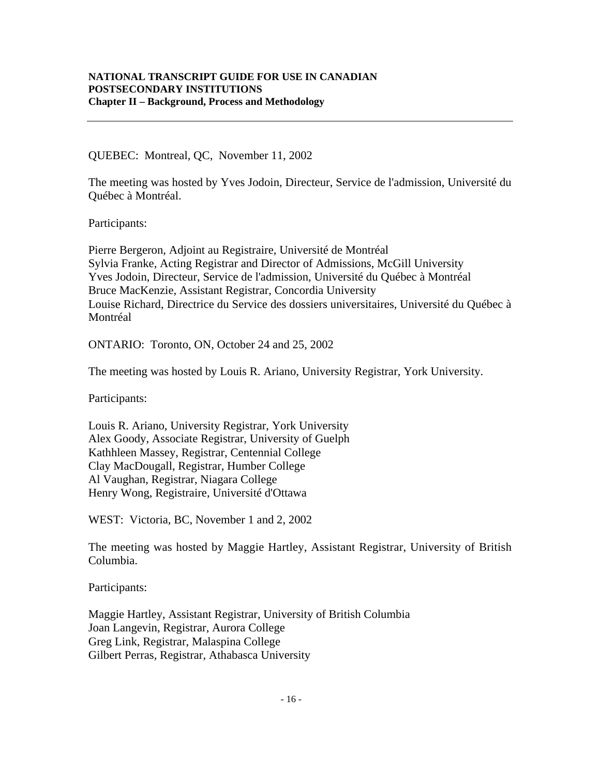QUEBEC: Montreal, QC, November 11, 2002

The meeting was hosted by Yves Jodoin, Directeur, Service de l'admission, Université du Québec à Montréal.

Participants:

Pierre Bergeron, Adjoint au Registraire, Université de Montréal Sylvia Franke, Acting Registrar and Director of Admissions, McGill University Yves Jodoin, Directeur, Service de l'admission, Université du Québec à Montréal Bruce MacKenzie, Assistant Registrar, Concordia University Louise Richard, Directrice du Service des dossiers universitaires, Université du Québec à Montréal

ONTARIO: Toronto, ON, October 24 and 25, 2002

The meeting was hosted by Louis R. Ariano, University Registrar, York University.

Participants:

Louis R. Ariano, University Registrar, York University Alex Goody, Associate Registrar, University of Guelph Kathhleen Massey, Registrar, Centennial College Clay MacDougall, Registrar, Humber College Al Vaughan, Registrar, Niagara College Henry Wong, Registraire, Université d'Ottawa

WEST: Victoria, BC, November 1 and 2, 2002

The meeting was hosted by Maggie Hartley, Assistant Registrar, University of British Columbia.

Participants:

Maggie Hartley, Assistant Registrar, University of British Columbia Joan Langevin, Registrar, Aurora College Greg Link, Registrar, Malaspina College Gilbert Perras, Registrar, Athabasca University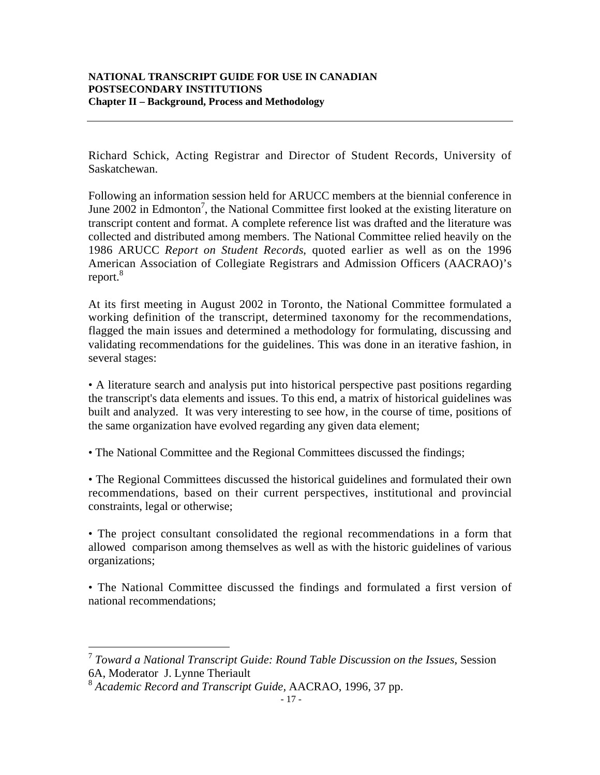Richard Schick, Acting Registrar and Director of Student Records, University of Saskatchewan.

Following an information session held for ARUCC members at the biennial conference in June  $2002$  in Edmonton<sup>7</sup>, the National Committee first looked at the existing literature on transcript content and format. A complete reference list was drafted and the literature was collected and distributed among members. The National Committee relied heavily on the 1986 ARUCC *Report on Student Records*, quoted earlier as well as on the 1996 American Association of Collegiate Registrars and Admission Officers (AACRAO)'s report.<sup>8</sup>

At its first meeting in August 2002 in Toronto, the National Committee formulated a working definition of the transcript, determined taxonomy for the recommendations, flagged the main issues and determined a methodology for formulating, discussing and validating recommendations for the guidelines. This was done in an iterative fashion, in several stages:

• A literature search and analysis put into historical perspective past positions regarding the transcript's data elements and issues. To this end, a matrix of historical guidelines was built and analyzed. It was very interesting to see how, in the course of time, positions of the same organization have evolved regarding any given data element;

• The National Committee and the Regional Committees discussed the findings;

• The Regional Committees discussed the historical guidelines and formulated their own recommendations, based on their current perspectives, institutional and provincial constraints, legal or otherwise;

• The project consultant consolidated the regional recommendations in a form that allowed comparison among themselves as well as with the historic guidelines of various organizations;

• The National Committee discussed the findings and formulated a first version of national recommendations;

 <sup>7</sup> *Toward a National Transcript Guide: Round Table Discussion on the Issues*, Session 6A, Moderator J. Lynne Theriault

<sup>8</sup> *Academic Record and Transcript Guide,* AACRAO, 1996, 37 pp.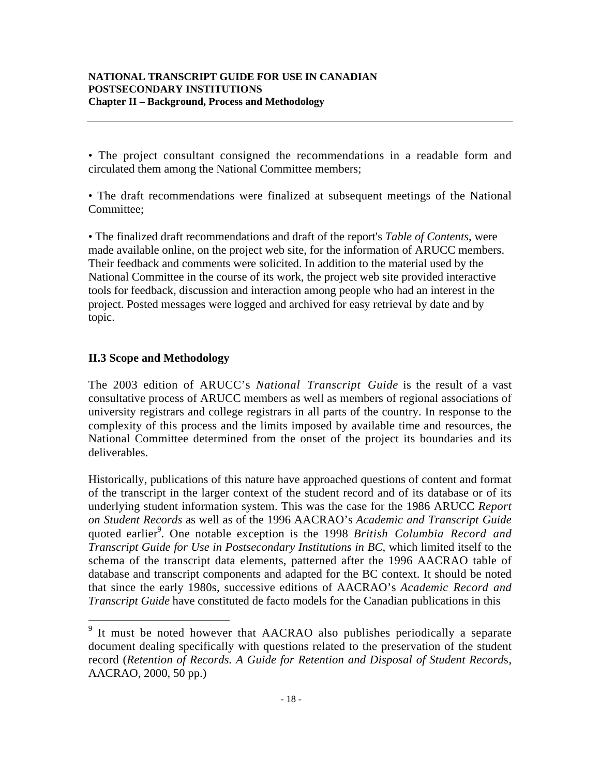• The project consultant consigned the recommendations in a readable form and circulated them among the National Committee members;

• The draft recommendations were finalized at subsequent meetings of the National Committee;

• The finalized draft recommendations and draft of the report's *Table of Contents*, were made available online, on the project web site, for the information of ARUCC members. Their feedback and comments were solicited. In addition to the material used by the National Committee in the course of its work, the project web site provided interactive tools for feedback, discussion and interaction among people who had an interest in the project. Posted messages were logged and archived for easy retrieval by date and by topic.

# **II.3 Scope and Methodology**

The 2003 edition of ARUCC's *National Transcript Guide* is the result of a vast consultative process of ARUCC members as well as members of regional associations of university registrars and college registrars in all parts of the country. In response to the complexity of this process and the limits imposed by available time and resources, the National Committee determined from the onset of the project its boundaries and its deliverables.

Historically, publications of this nature have approached questions of content and format of the transcript in the larger context of the student record and of its database or of its underlying student information system. This was the case for the 1986 ARUCC *Report on Student Records* as well as of the 1996 AACRAO's *Academic and Transcript Guide* quoted earlier<sup>9</sup>. One notable exception is the 1998 British Columbia Record and *Transcript Guide for Use in Postsecondary Institutions in BC*, which limited itself to the schema of the transcript data elements, patterned after the 1996 AACRAO table of database and transcript components and adapted for the BC context. It should be noted that since the early 1980s, successive editions of AACRAO's *Academic Record and Transcript Guide* have constituted de facto models for the Canadian publications in this

<sup>&</sup>lt;sup>9</sup> It must be noted however that AACRAO also publishes periodically a separate document dealing specifically with questions related to the preservation of the student record (*Retention of Records. A Guide for Retention and Disposal of Student Record*s, AACRAO, 2000, 50 pp.)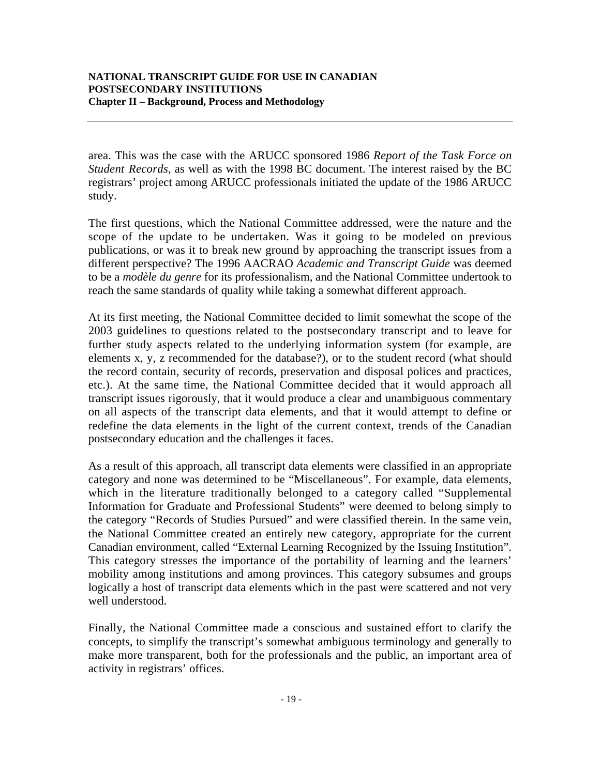area. This was the case with the ARUCC sponsored 1986 *Report of the Task Force on Student Records*, as well as with the 1998 BC document. The interest raised by the BC registrars' project among ARUCC professionals initiated the update of the 1986 ARUCC study.

The first questions, which the National Committee addressed, were the nature and the scope of the update to be undertaken. Was it going to be modeled on previous publications, or was it to break new ground by approaching the transcript issues from a different perspective? The 1996 AACRAO *Academic and Transcript Guide* was deemed to be a *modèle du genre* for its professionalism, and the National Committee undertook to reach the same standards of quality while taking a somewhat different approach.

At its first meeting, the National Committee decided to limit somewhat the scope of the 2003 guidelines to questions related to the postsecondary transcript and to leave for further study aspects related to the underlying information system (for example, are elements x, y, z recommended for the database?), or to the student record (what should the record contain, security of records, preservation and disposal polices and practices, etc.). At the same time, the National Committee decided that it would approach all transcript issues rigorously, that it would produce a clear and unambiguous commentary on all aspects of the transcript data elements, and that it would attempt to define or redefine the data elements in the light of the current context, trends of the Canadian postsecondary education and the challenges it faces.

As a result of this approach, all transcript data elements were classified in an appropriate category and none was determined to be "Miscellaneous". For example, data elements, which in the literature traditionally belonged to a category called "Supplemental Information for Graduate and Professional Students" were deemed to belong simply to the category "Records of Studies Pursued" and were classified therein. In the same vein, the National Committee created an entirely new category, appropriate for the current Canadian environment, called "External Learning Recognized by the Issuing Institution". This category stresses the importance of the portability of learning and the learners' mobility among institutions and among provinces. This category subsumes and groups logically a host of transcript data elements which in the past were scattered and not very well understood.

Finally, the National Committee made a conscious and sustained effort to clarify the concepts, to simplify the transcript's somewhat ambiguous terminology and generally to make more transparent, both for the professionals and the public, an important area of activity in registrars' offices.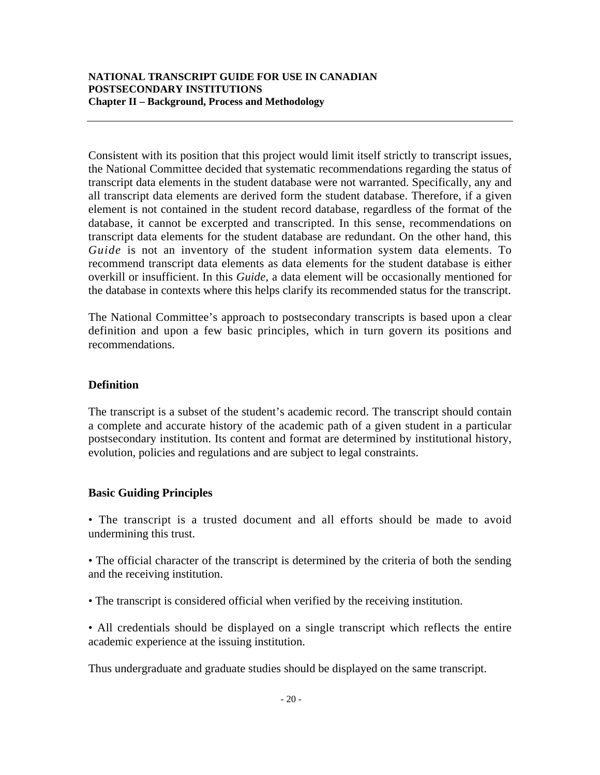Consistent with its position that this project would limit itself strictly to transcript issues, the National Committee decided that systematic recommendations regarding the status of transcript data elements in the student database were not warranted. Specifically, any and all transcript data elements are derived form the student database. Therefore, if a given element is not contained in the student record database, regardless of the format of the database, it cannot be excerpted and transcripted. In this sense, recommendations on transcript data elements for the student database are redundant. On the other hand, this *Guide* is not an inventory of the student information system data elements. To recommend transcript data elements as data elements for the student database is either overkill or insufficient. In this *Guide*, a data element will be occasionally mentioned for the database in contexts where this helps clarify its recommended status for the transcript.

The National Committee's approach to postsecondary transcripts is based upon a clear definition and upon a few basic principles, which in turn govern its positions and recommendations.

# **Definition**

The transcript is a subset of the student's academic record. The transcript should contain a complete and accurate history of the academic path of a given student in a particular postsecondary institution. Its content and format are determined by institutional history, evolution, policies and regulations and are subject to legal constraints.

# **Basic Guiding Principles**

• The transcript is a trusted document and all efforts should be made to avoid undermining this trust.

• The official character of the transcript is determined by the criteria of both the sending and the receiving institution.

• The transcript is considered official when verified by the receiving institution.

• All credentials should be displayed on a single transcript which reflects the entire academic experience at the issuing institution.

Thus undergraduate and graduate studies should be displayed on the same transcript.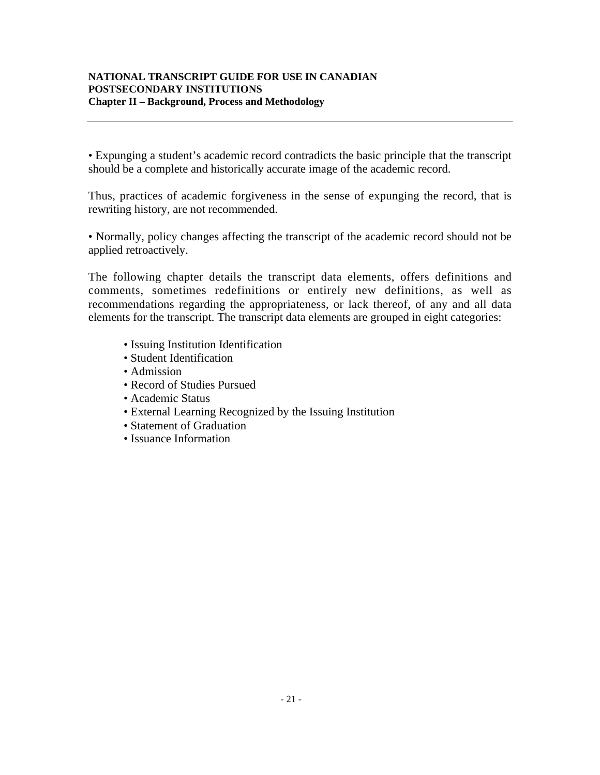• Expunging a student's academic record contradicts the basic principle that the transcript should be a complete and historically accurate image of the academic record.

Thus, practices of academic forgiveness in the sense of expunging the record, that is rewriting history, are not recommended.

• Normally, policy changes affecting the transcript of the academic record should not be applied retroactively.

The following chapter details the transcript data elements, offers definitions and comments, sometimes redefinitions or entirely new definitions, as well as recommendations regarding the appropriateness, or lack thereof, of any and all data elements for the transcript. The transcript data elements are grouped in eight categories:

- Issuing Institution Identification
- Student Identification
- Admission
- Record of Studies Pursued
- Academic Status
- External Learning Recognized by the Issuing Institution
- Statement of Graduation
- Issuance Information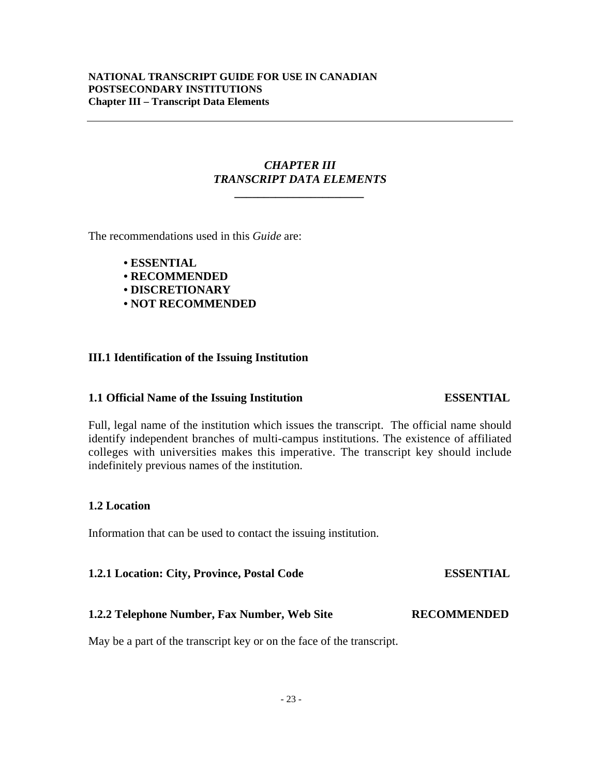#### **NATIONAL TRANSCRIPT GUIDE FOR USE IN CANADIAN POSTSECONDARY INSTITUTIONS Chapter III – Transcript Data Elements**

### *CHAPTER III TRANSCRIPT DATA ELEMENTS*

*\_\_\_\_\_\_\_\_\_\_\_\_\_\_\_\_\_\_\_\_\_\_*

The recommendations used in this *Guide* are:

- **ESSENTIAL**
- **RECOMMENDED**
- **DISCRETIONARY**
- **NOT RECOMMENDED**

### **III.1 Identification of the Issuing Institution**

#### **1.1 Official Name of the Issuing Institution ESSENTIAL**

# Full, legal name of the institution which issues the transcript. The official name should identify independent branches of multi-campus institutions. The existence of affiliated colleges with universities makes this imperative. The transcript key should include indefinitely previous names of the institution.

# **1.2 Location**

Information that can be used to contact the issuing institution.

**1.2.1 Location: City, Province, Postal Code ESSENTIAL**

# **1.2.2 Telephone Number, Fax Number, Web Site RECOMMENDED**

May be a part of the transcript key or on the face of the transcript.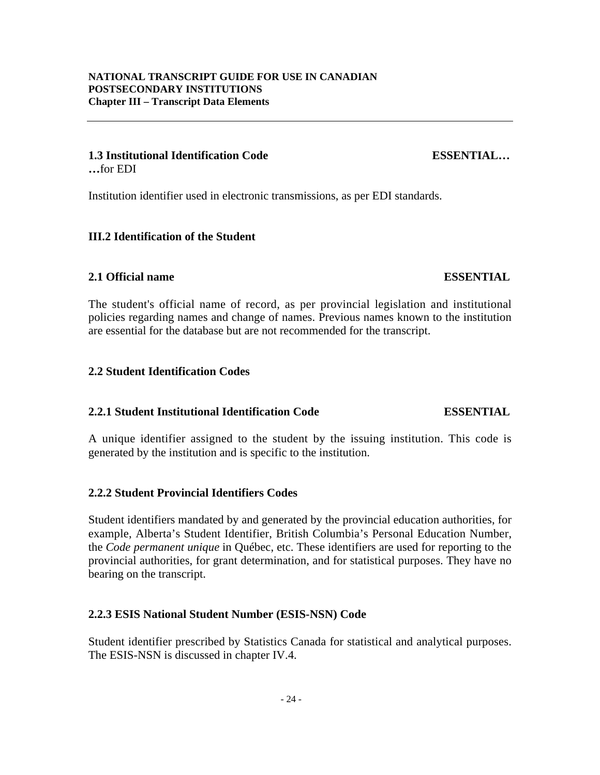#### **1.3 Institutional Identification Code ESSENTIAL… …**for EDI

Institution identifier used in electronic transmissions, as per EDI standards.

#### **III.2 Identification of the Student**

#### **2.1 Official name ESSENTIAL**

The student's official name of record, as per provincial legislation and institutional policies regarding names and change of names. Previous names known to the institution are essential for the database but are not recommended for the transcript.

#### **2.2 Student Identification Codes**

#### **2.2.1 Student Institutional Identification Code ESSENTIAL**

A unique identifier assigned to the student by the issuing institution. This code is generated by the institution and is specific to the institution.

#### **2.2.2 Student Provincial Identifiers Codes**

Student identifiers mandated by and generated by the provincial education authorities, for example, Alberta's Student Identifier, British Columbia's Personal Education Number, the *Code permanent unique* in Québec, etc. These identifiers are used for reporting to the provincial authorities, for grant determination, and for statistical purposes. They have no bearing on the transcript.

#### **2.2.3 ESIS National Student Number (ESIS-NSN) Code**

Student identifier prescribed by Statistics Canada for statistical and analytical purposes. The ESIS-NSN is discussed in chapter IV.4.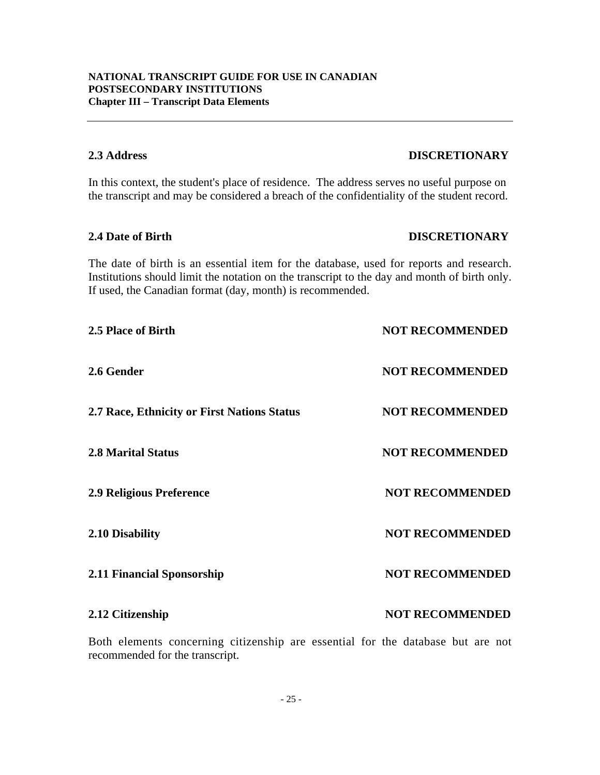**2.12 Citizenship NOT RECOMMENDED** 

Both elements concerning citizenship are essential for the database but are not

- 25 -

recommended for the transcript.

Institutions should limit the notation on the transcript to the day and month of birth only. If used, the Canadian format (day, month) is recommended.

In this context, the student's place of residence. The address serves no useful purpose on the transcript and may be considered a breach of the confidentiality of the student record.

**2.4 Date of Birth DISCRETIONARY**

The date of birth is an essential item for the database, used for reports and research.

**NATIONAL TRANSCRIPT GUIDE FOR USE IN CANADIAN**

**POSTSECONDARY INSTITUTIONS Chapter III – Transcript Data Elements**

**2.5 Place of Birth NOT RECOMMENDED 2.6 Gender NOT RECOMMENDED 2.7 Race, Ethnicity or First Nations Status NOT RECOMMENDED 2.8 Marital Status 19. In the COMMENDED NOT RECOMMENDED 2.9 Religious Preference NOT RECOMMENDED 2.10 Disability NOT RECOMMENDED 2.11 Financial Sponsorship NOT RECOMMENDED** 

# **2.3 Address DISCRETIONARY**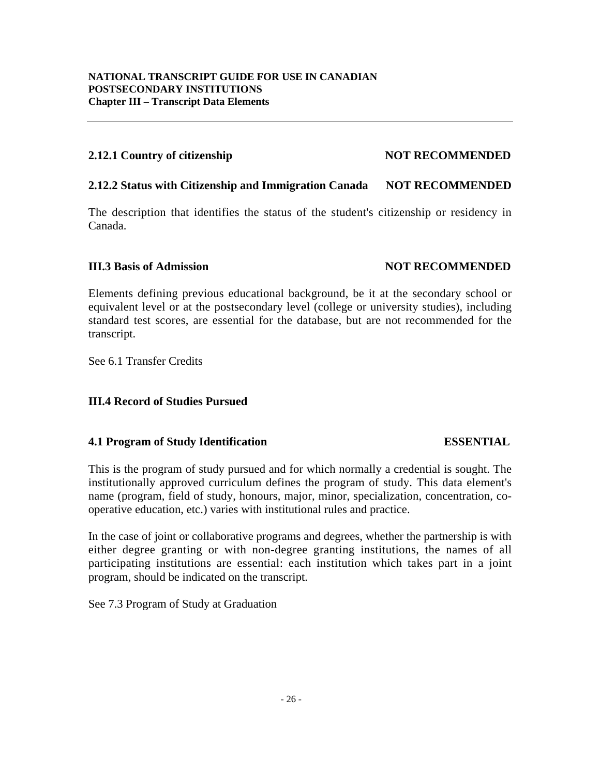### **2.12.1 Country of citizenship NOT RECOMMENDED**

### **2.12.2 Status with Citizenship and Immigration Canada NOT RECOMMENDED**

The description that identifies the status of the student's citizenship or residency in Canada.

### **III.3 Basis of Admission NOT RECOMMENDED**

Elements defining previous educational background, be it at the secondary school or equivalent level or at the postsecondary level (college or university studies), including standard test scores, are essential for the database, but are not recommended for the transcript.

See 6.1 Transfer Credits

# **III.4 Record of Studies Pursued**

# **4.1 Program of Study Identification ESSENTIAL**

This is the program of study pursued and for which normally a credential is sought. The institutionally approved curriculum defines the program of study. This data element's name (program, field of study, honours, major, minor, specialization, concentration, cooperative education, etc.) varies with institutional rules and practice.

In the case of joint or collaborative programs and degrees, whether the partnership is with either degree granting or with non-degree granting institutions, the names of all participating institutions are essential: each institution which takes part in a joint program, should be indicated on the transcript.

See 7.3 Program of Study at Graduation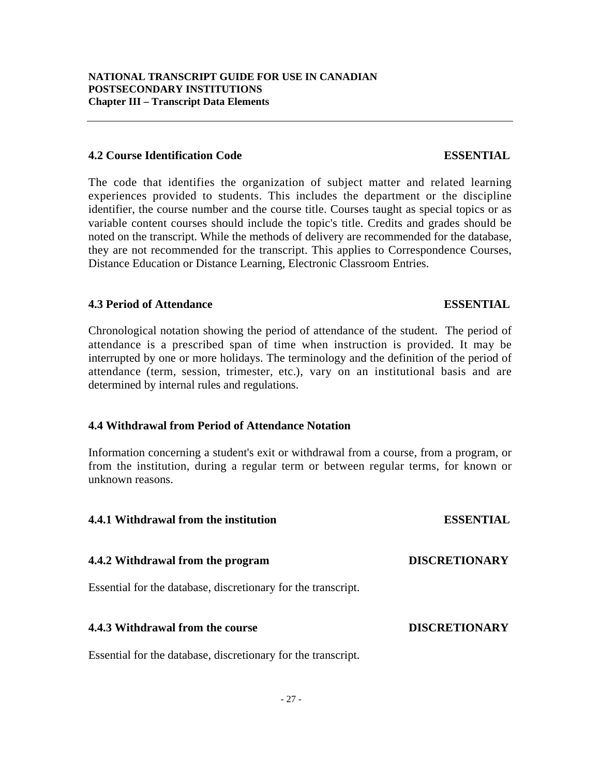#### **4.2 Course Identification Code ESSENTIAL**

### The code that identifies the organization of subject matter and related learning experiences provided to students. This includes the department or the discipline identifier, the course number and the course title. Courses taught as special topics or as variable content courses should include the topic's title. Credits and grades should be noted on the transcript. While the methods of delivery are recommended for the database, they are not recommended for the transcript. This applies to Correspondence Courses, Distance Education or Distance Learning, Electronic Classroom Entries.

#### **4.3 Period of Attendance ESSENTIAL**

### Chronological notation showing the period of attendance of the student. The period of attendance is a prescribed span of time when instruction is provided. It may be interrupted by one or more holidays. The terminology and the definition of the period of attendance (term, session, trimester, etc.), vary on an institutional basis and are determined by internal rules and regulations.

#### **4.4 Withdrawal from Period of Attendance Notation**

Information concerning a student's exit or withdrawal from a course, from a program, or from the institution, during a regular term or between regular terms, for known or unknown reasons.

| 4.4.1 Withdrawal from the institution                         | <b>ESSENTIAL</b>     |
|---------------------------------------------------------------|----------------------|
| 4.4.2 Withdrawal from the program                             | <b>DISCRETIONARY</b> |
| Essential for the database, discretionary for the transcript. |                      |
| 4.4.3 Withdrawal from the course                              | <b>DISCRETIONARY</b> |

Essential for the database, discretionary for the transcript.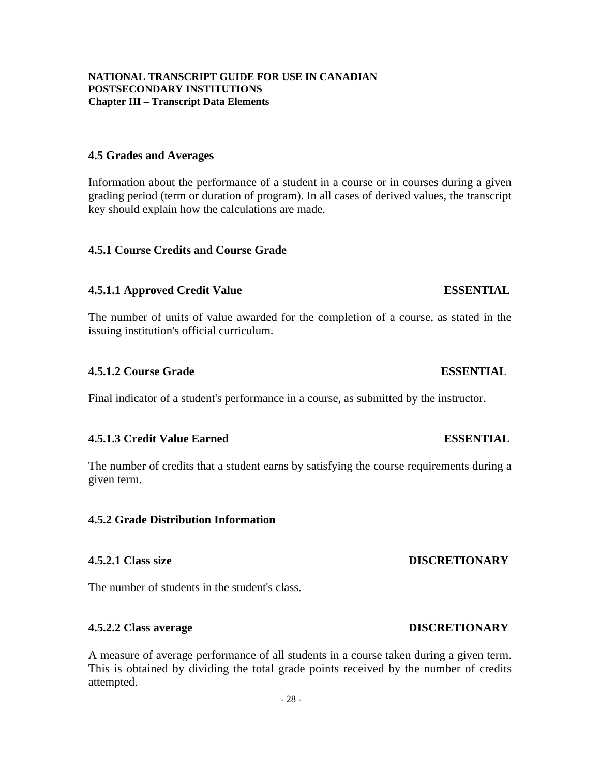### **4.5 Grades and Averages**

Information about the performance of a student in a course or in courses during a given grading period (term or duration of program). In all cases of derived values, the transcript key should explain how the calculations are made.

### **4.5.1 Course Credits and Course Grade**

# **4.5.1.1 Approved Credit Value ESSENTIAL**

The number of units of value awarded for the completion of a course, as stated in the issuing institution's official curriculum.

# **4.5.1.2 Course Grade ESSENTIAL**

Final indicator of a student's performance in a course, as submitted by the instructor.

# **4.5.1.3 Credit Value Earned ESSENTIAL**

The number of credits that a student earns by satisfying the course requirements during a given term.

# **4.5.2 Grade Distribution Information**

The number of students in the student's class.

# **4.5.2.2 Class average DISCRETIONARY**

A measure of average performance of all students in a course taken during a given term. This is obtained by dividing the total grade points received by the number of credits attempted.

# **4.5.2.1 Class size DISCRETIONARY**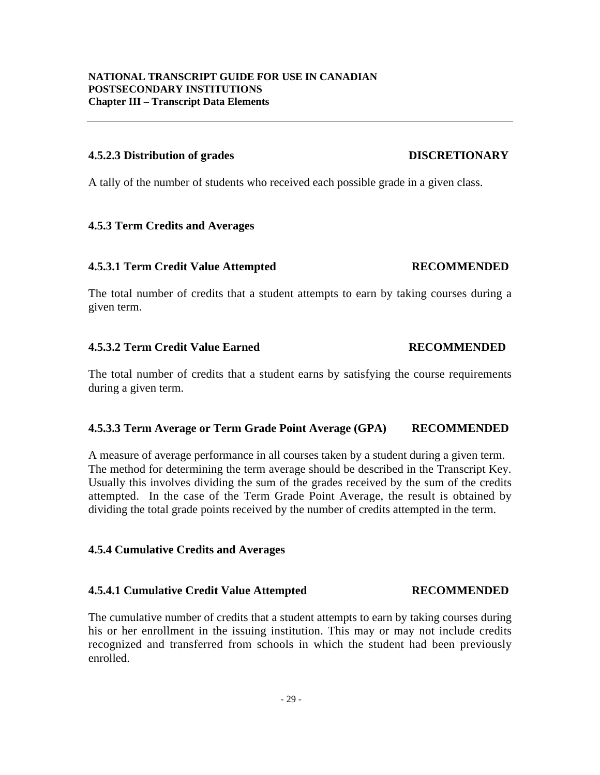#### **4.5.2.3 Distribution of grades DISCRETIONARY**

#### A tally of the number of students who received each possible grade in a given class.

#### **4.5.3 Term Credits and Averages**

#### **4.5.3.1 Term Credit Value Attempted RECOMMENDED**

### The total number of credits that a student attempts to earn by taking courses during a given term.

#### **4.5.3.2 Term Credit Value Earned RECOMMENDED**

The total number of credits that a student earns by satisfying the course requirements during a given term.

#### **4.5.3.3 Term Average or Term Grade Point Average (GPA) RECOMMENDED**

A measure of average performance in all courses taken by a student during a given term. The method for determining the term average should be described in the Transcript Key. Usually this involves dividing the sum of the grades received by the sum of the credits attempted. In the case of the Term Grade Point Average, the result is obtained by dividing the total grade points received by the number of credits attempted in the term.

#### **4.5.4 Cumulative Credits and Averages**

### **4.5.4.1 Cumulative Credit Value Attempted RECOMMENDED**

The cumulative number of credits that a student attempts to earn by taking courses during his or her enrollment in the issuing institution. This may or may not include credits recognized and transferred from schools in which the student had been previously enrolled.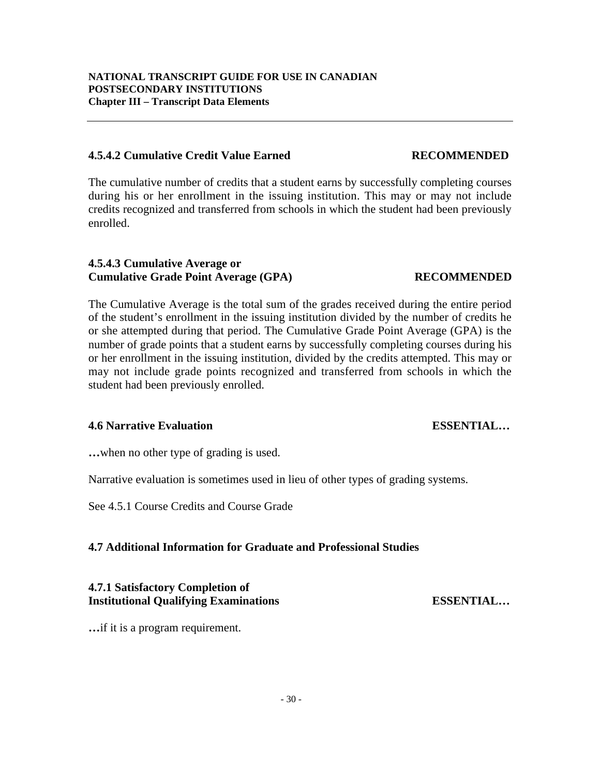#### **4.5.4.2 Cumulative Credit Value Earned RECOMMENDED**

The cumulative number of credits that a student earns by successfully completing courses during his or her enrollment in the issuing institution. This may or may not include credits recognized and transferred from schools in which the student had been previously enrolled.

# **4.5.4.3 Cumulative Average or Cumulative Grade Point Average (GPA) RECOMMENDED**

The Cumulative Average is the total sum of the grades received during the entire period of the student's enrollment in the issuing institution divided by the number of credits he or she attempted during that period. The Cumulative Grade Point Average (GPA) is the number of grade points that a student earns by successfully completing courses during his or her enrollment in the issuing institution, divided by the credits attempted. This may or may not include grade points recognized and transferred from schools in which the student had been previously enrolled.

### **4.6 Narrative Evaluation ESSENTIAL…**

**…**when no other type of grading is used.

Narrative evaluation is sometimes used in lieu of other types of grading systems.

See 4.5.1 Course Credits and Course Grade

# **4.7 Additional Information for Graduate and Professional Studies**

#### **4.7.1 Satisfactory Completion of Institutional Qualifying Examinations ESSENTIAL…**

**…**if it is a program requirement.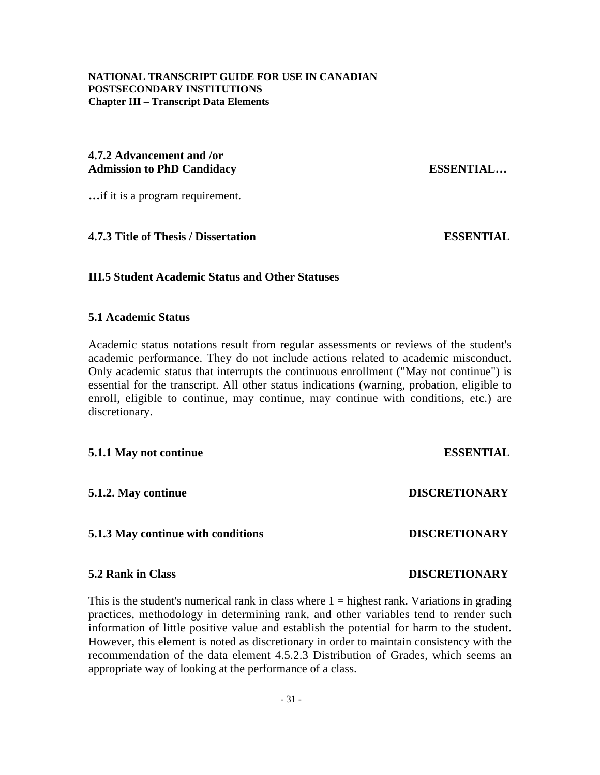#### **4.7.2 Advancement and /or Admission to PhD Candidacy ESSENTIAL…**

**…**if it is a program requirement.

**4.7.3 Title of Thesis / Dissertation ESSENTIAL**

#### **III.5 Student Academic Status and Other Statuses**

#### **5.1 Academic Status**

Academic status notations result from regular assessments or reviews of the student's academic performance. They do not include actions related to academic misconduct. Only academic status that interrupts the continuous enrollment ("May not continue") is essential for the transcript. All other status indications (warning, probation, eligible to enroll, eligible to continue, may continue, may continue with conditions, etc.) are discretionary.

#### **5.1.1 May not continue ESSENTIAL**

**5.1.2. May continue DISCRETIONARY**

### **5.1.3 May continue with conditions DISCRETIONARY**

#### **5.2 Rank in Class DISCRETIONARY**

This is the student's numerical rank in class where  $1 =$  highest rank. Variations in grading practices, methodology in determining rank, and other variables tend to render such information of little positive value and establish the potential for harm to the student. However, this element is noted as discretionary in order to maintain consistency with the recommendation of the data element 4.5.2.3 Distribution of Grades, which seems an appropriate way of looking at the performance of a class.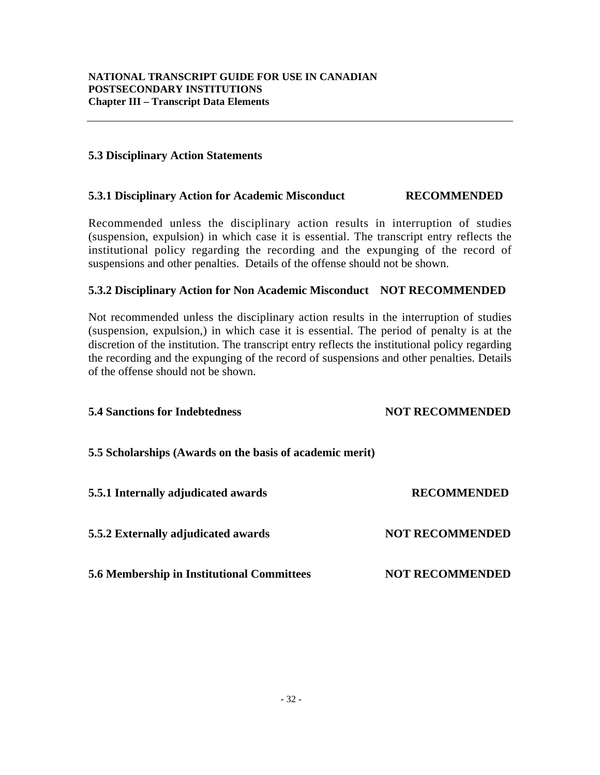### **5.3 Disciplinary Action Statements**

#### **5.3.1 Disciplinary Action for Academic Misconduct RECOMMENDED**

Recommended unless the disciplinary action results in interruption of studies (suspension, expulsion) in which case it is essential. The transcript entry reflects the institutional policy regarding the recording and the expunging of the record of suspensions and other penalties. Details of the offense should not be shown.

#### **5.3.2 Disciplinary Action for Non Academic Misconduct NOT RECOMMENDED**

Not recommended unless the disciplinary action results in the interruption of studies (suspension, expulsion,) in which case it is essential. The period of penalty is at the discretion of the institution. The transcript entry reflects the institutional policy regarding the recording and the expunging of the record of suspensions and other penalties. Details of the offense should not be shown.

| <b>5.4 Sanctions for Indebtedness</b>                    | <b>NOT RECOMMENDED</b> |
|----------------------------------------------------------|------------------------|
| 5.5 Scholarships (Awards on the basis of academic merit) |                        |
| 5.5.1 Internally adjudicated awards                      | <b>RECOMMENDED</b>     |
| 5.5.2 Externally adjudicated awards                      | <b>NOT RECOMMENDED</b> |
| <b>5.6 Membership in Institutional Committees</b>        | <b>NOT RECOMMENDED</b> |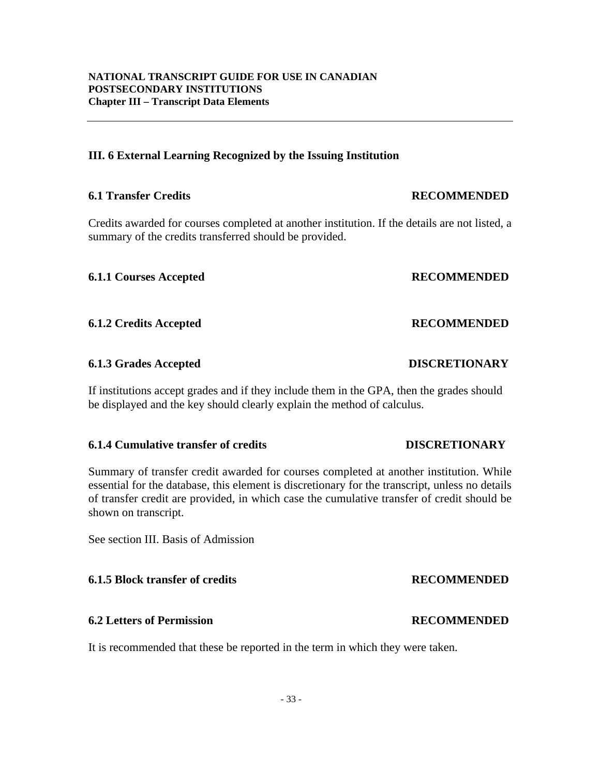**NATIONAL TRANSCRIPT GUIDE FOR USE IN CANADIAN POSTSECONDARY INSTITUTIONS Chapter III – Transcript Data Elements**

#### **III. 6 External Learning Recognized by the Issuing Institution**

#### **6.1 Transfer Credits RECOMMENDED**

Credits awarded for courses completed at another institution. If the details are not listed, a summary of the credits transferred should be provided.

**6.1.1 Courses Accepted RECOMMENDED**

**6.1.2 Credits Accepted RECOMMENDED**

### **6.1.3 Grades Accepted DISCRETIONARY**

If institutions accept grades and if they include them in the GPA, then the grades should be displayed and the key should clearly explain the method of calculus.

#### **6.1.4 Cumulative transfer of credits DISCRETIONARY**

Summary of transfer credit awarded for courses completed at another institution. While essential for the database, this element is discretionary for the transcript, unless no details of transfer credit are provided, in which case the cumulative transfer of credit should be shown on transcript.

See section III. Basis of Admission

# **6.1.5 Block transfer of credits RECOMMENDED**

# **6.2 Letters of Permission RECOMMENDED**

It is recommended that these be reported in the term in which they were taken.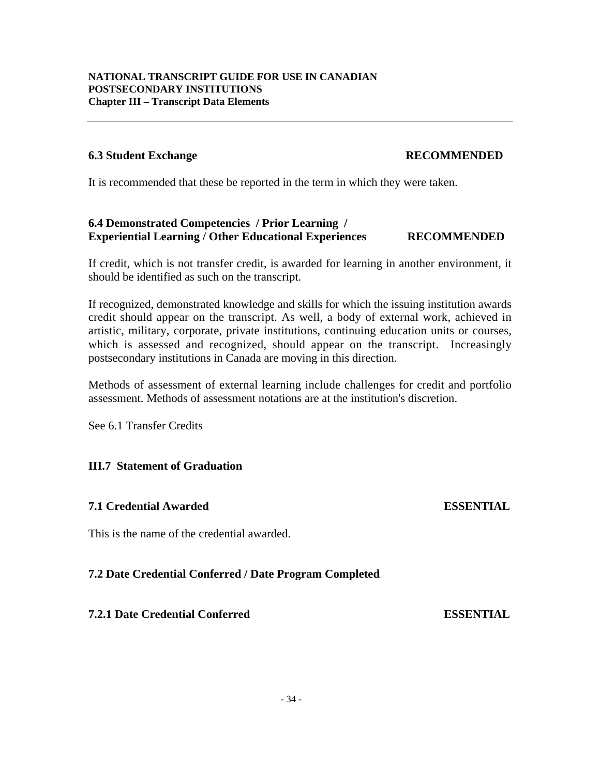#### **6.3 Student Exchange RECOMMENDED**

It is recommended that these be reported in the term in which they were taken.

#### **6.4 Demonstrated Competencies / Prior Learning / Experiential Learning / Other Educational Experiences RECOMMENDED**

If credit, which is not transfer credit, is awarded for learning in another environment, it should be identified as such on the transcript.

If recognized, demonstrated knowledge and skills for which the issuing institution awards credit should appear on the transcript. As well, a body of external work, achieved in artistic, military, corporate, private institutions, continuing education units or courses, which is assessed and recognized, should appear on the transcript. Increasingly postsecondary institutions in Canada are moving in this direction.

Methods of assessment of external learning include challenges for credit and portfolio assessment. Methods of assessment notations are at the institution's discretion.

See 6.1 Transfer Credits

#### **III.7 Statement of Graduation**

#### **7.1 Credential Awarded ESSENTIAL**

This is the name of the credential awarded.

#### **7.2 Date Credential Conferred / Date Program Completed**

**7.2.1 Date Credential Conferred ESSENTIAL**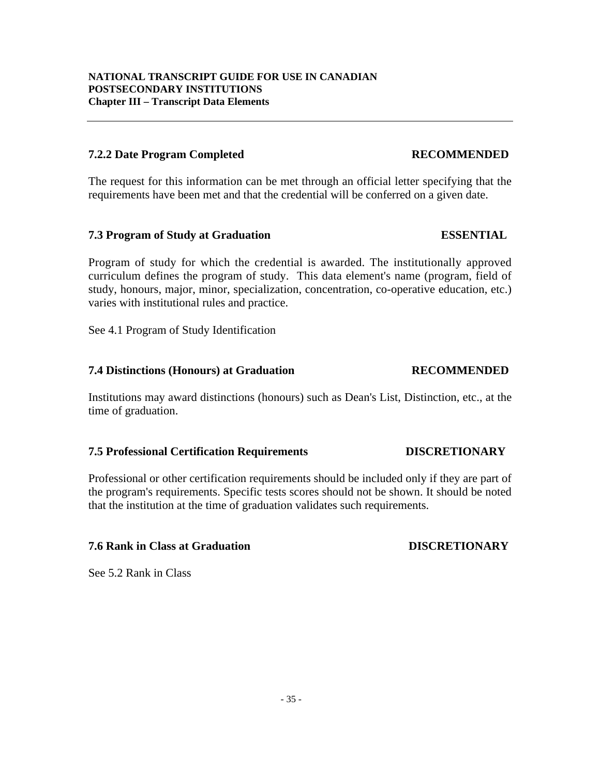#### **7.2.2 Date Program Completed RECOMMENDED**

The request for this information can be met through an official letter specifying that the requirements have been met and that the credential will be conferred on a given date.

#### **7.3 Program of Study at Graduation ESSENTIAL**

Program of study for which the credential is awarded. The institutionally approved curriculum defines the program of study. This data element's name (program, field of study, honours, major, minor, specialization, concentration, co-operative education, etc.) varies with institutional rules and practice.

See 4.1 Program of Study Identification

#### **7.4 Distinctions (Honours) at Graduation RECOMMENDED**

Institutions may award distinctions (honours) such as Dean's List, Distinction, etc., at the time of graduation.

#### **7.5 Professional Certification Requirements DISCRETIONARY**

Professional or other certification requirements should be included only if they are part of the program's requirements. Specific tests scores should not be shown. It should be noted that the institution at the time of graduation validates such requirements.

#### **7.6 Rank in Class at Graduation DISCRETIONARY**

See 5.2 Rank in Class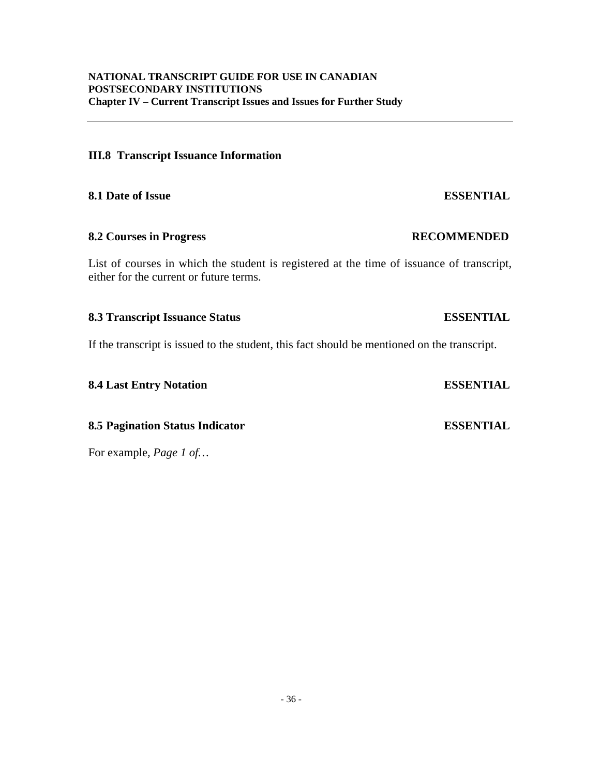#### **III.8 Transcript Issuance Information**

**8.1 Date of Issue ESSENTIAL**

#### **8.2 Courses in Progress RECOMMENDED**

List of courses in which the student is registered at the time of issuance of transcript, either for the current or future terms.

#### **8.3 Transcript Issuance Status ESSENTIAL**

If the transcript is issued to the student, this fact should be mentioned on the transcript.

**8.4 Last Entry Notation ESSENTIAL**

**8.5 Pagination Status Indicator ESSENTIAL**

For example*, Page 1 of…*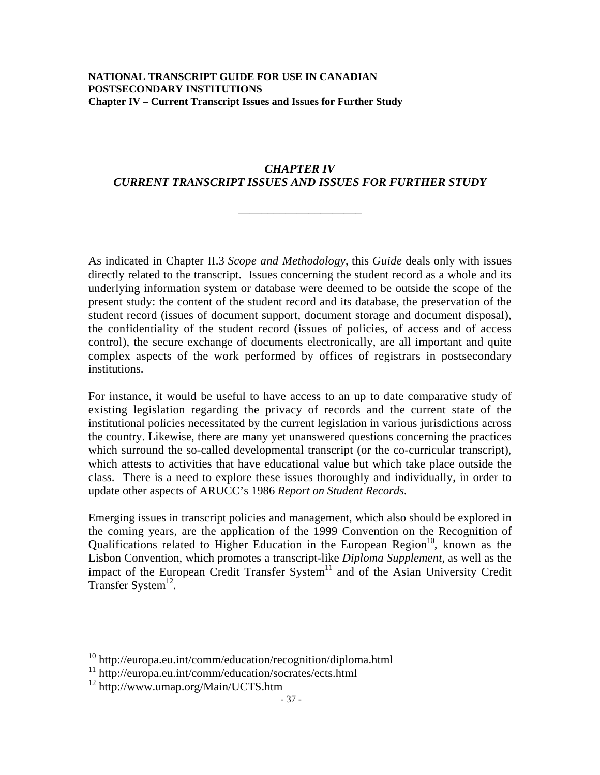# *CHAPTER IV CURRENT TRANSCRIPT ISSUES AND ISSUES FOR FURTHER STUDY*

\_\_\_\_\_\_\_\_\_\_\_\_\_\_\_\_\_\_\_\_\_

As indicated in Chapter II.3 *Scope and Methodology*, this *Guide* deals only with issues directly related to the transcript. Issues concerning the student record as a whole and its underlying information system or database were deemed to be outside the scope of the present study: the content of the student record and its database, the preservation of the student record (issues of document support, document storage and document disposal), the confidentiality of the student record (issues of policies, of access and of access control), the secure exchange of documents electronically, are all important and quite complex aspects of the work performed by offices of registrars in postsecondary institutions.

For instance, it would be useful to have access to an up to date comparative study of existing legislation regarding the privacy of records and the current state of the institutional policies necessitated by the current legislation in various jurisdictions across the country. Likewise, there are many yet unanswered questions concerning the practices which surround the so-called developmental transcript (or the co-curricular transcript), which attests to activities that have educational value but which take place outside the class. There is a need to explore these issues thoroughly and individually, in order to update other aspects of ARUCC's 1986 *Report on Student Records*.

Emerging issues in transcript policies and management, which also should be explored in the coming years, are the application of the 1999 Convention on the Recognition of Qualifications related to Higher Education in the European Region<sup>10</sup>, known as the Lisbon Convention, which promotes a transcript-like *Diploma Supplement*, as well as the impact of the European Credit Transfer System<sup>11</sup> and of the Asian University Credit Transfer System $^{12}$ .

 <sup>10</sup> http://europa.eu.int/comm/education/recognition/diploma.html

<sup>11</sup> http://europa.eu.int/comm/education/socrates/ects.html

<sup>12</sup> http://www.umap.org/Main/UCTS.htm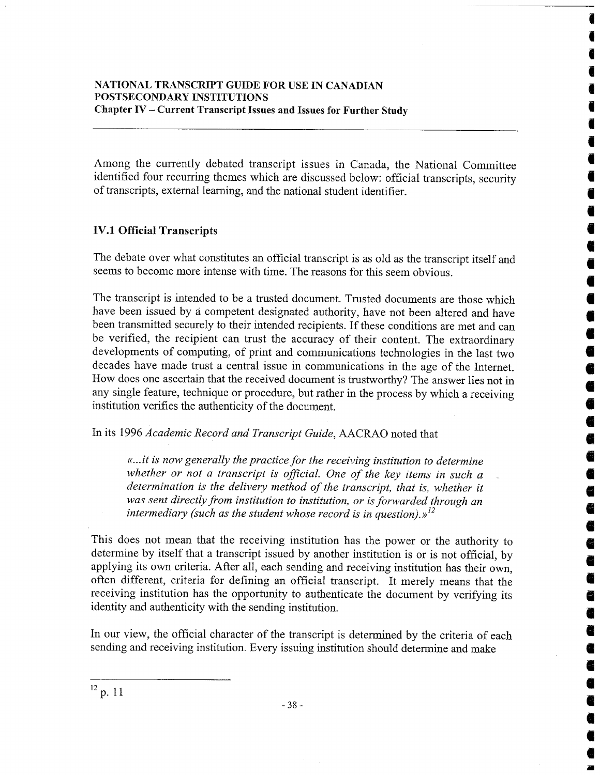Among the currently debated transcript issues in Canada, the National Committee identified four recurring themes which are discussed below: official transcripts, security of transcripts, external learning, and the national student identifier.

# **IV.1 Official Transcripts**

The debate over what constitutes an official transcript is as old as the transcript itself and seems to become more intense with time. The reasons for this seem obvious.

 $\bullet$ 

Ő

en.<br>E

ë

The transcript is intended to be a trusted document. Trusted documents are those which have been issued by a competent designated authority, have not been altered and have been transmitted securely to their intended recipients. If these conditions are met and can be verified, the recipient can trust the accuracy of their content. The extraordinary developments of computing, of print and communications technologies in the last two decades have made trust a central issue in communications in the age of the Internet. How does one ascertain that the received document is trustworthy? The answer lies not in any single feature, technique or procedure, but rather in the process by which a receiving institution verifies the authenticity of the document.

In its 1996 Academic Record and Transcript Guide, AACRAO noted that

«...it is now generally the practice for the receiving institution to determine whether or not a transcript is official. One of the key items in such a determination is the delivery method of the transcript, that is, whether it was sent directly from institution to institution, or is forwarded through an intermediary (such as the student whose record is in question). $y<sup>12</sup>$ 

This does not mean that the receiving institution has the power or the authority to determine by itself that a transcript issued by another institution is or is not official, by applying its own criteria. After all, each sending and receiving institution has their own, often different, criteria for defining an official transcript. It merely means that the receiving institution has the opportunity to authenticate the document by verifying its identity and authenticity with the sending institution.

In our view, the official character of the transcript is determined by the criteria of each sending and receiving institution. Every issuing institution should determine and make

 $12$  p. 11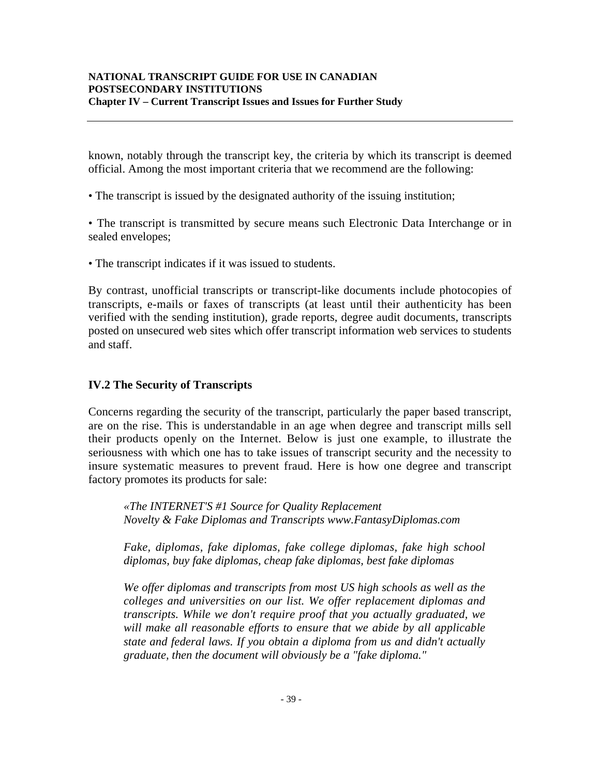#### **NATIONAL TRANSCRIPT GUIDE FOR USE IN CANADIAN POSTSECONDARY INSTITUTIONS Chapter IV – Current Transcript Issues and Issues for Further Study**

known, notably through the transcript key, the criteria by which its transcript is deemed official. Among the most important criteria that we recommend are the following:

• The transcript is issued by the designated authority of the issuing institution;

• The transcript is transmitted by secure means such Electronic Data Interchange or in sealed envelopes;

• The transcript indicates if it was issued to students.

By contrast, unofficial transcripts or transcript-like documents include photocopies of transcripts, e-mails or faxes of transcripts (at least until their authenticity has been verified with the sending institution), grade reports, degree audit documents, transcripts posted on unsecured web sites which offer transcript information web services to students and staff.

### **IV.2 The Security of Transcripts**

Concerns regarding the security of the transcript, particularly the paper based transcript, are on the rise. This is understandable in an age when degree and transcript mills sell their products openly on the Internet. Below is just one example, to illustrate the seriousness with which one has to take issues of transcript security and the necessity to insure systematic measures to prevent fraud. Here is how one degree and transcript factory promotes its products for sale:

*«The INTERNET'S #1 Source for Quality Replacement Novelty & Fake Diplomas and Transcripts www.FantasyDiplomas.com*

*Fake, diplomas, fake diplomas, fake college diplomas, fake high school diplomas, buy fake diplomas, cheap fake diplomas, best fake diplomas*

*We offer diplomas and transcripts from most US high schools as well as the colleges and universities on our list. We offer replacement diplomas and transcripts. While we don't require proof that you actually graduated, we will make all reasonable efforts to ensure that we abide by all applicable state and federal laws. If you obtain a diploma from us and didn't actually graduate, then the document will obviously be a "fake diploma."*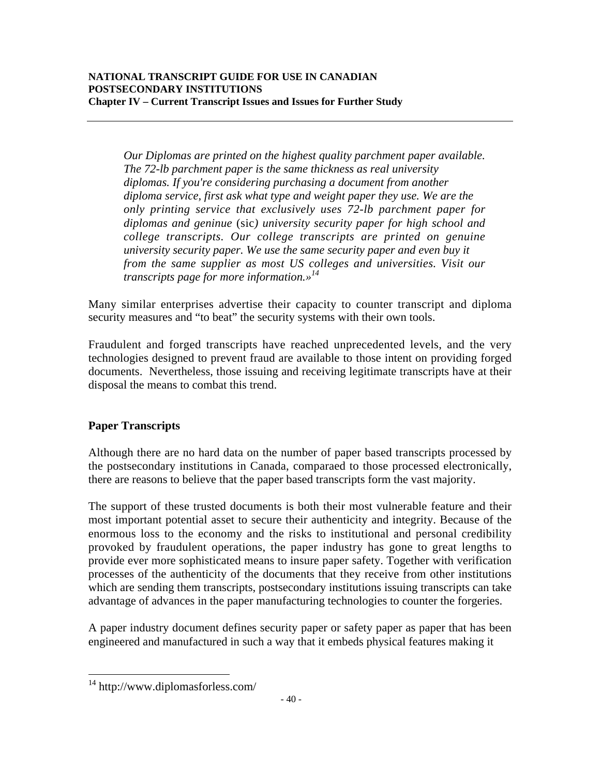*Our Diplomas are printed on the highest quality parchment paper available. The 72-lb parchment paper is the same thickness as real university diplomas. If you're considering purchasing a document from another diploma service, first ask what type and weight paper they use. We are the only printing service that exclusively uses 72-lb parchment paper for diplomas and geninue* (sic*) university security paper for high school and college transcripts. Our college transcripts are printed on genuine university security paper. We use the same security paper and even buy it from the same supplier as most US colleges and universities. Visit our transcripts page for more information.»14*

Many similar enterprises advertise their capacity to counter transcript and diploma security measures and "to beat" the security systems with their own tools.

Fraudulent and forged transcripts have reached unprecedented levels, and the very technologies designed to prevent fraud are available to those intent on providing forged documents. Nevertheless, those issuing and receiving legitimate transcripts have at their disposal the means to combat this trend.

# **Paper Transcripts**

Although there are no hard data on the number of paper based transcripts processed by the postsecondary institutions in Canada, comparaed to those processed electronically, there are reasons to believe that the paper based transcripts form the vast majority.

The support of these trusted documents is both their most vulnerable feature and their most important potential asset to secure their authenticity and integrity. Because of the enormous loss to the economy and the risks to institutional and personal credibility provoked by fraudulent operations, the paper industry has gone to great lengths to provide ever more sophisticated means to insure paper safety. Together with verification processes of the authenticity of the documents that they receive from other institutions which are sending them transcripts, postsecondary institutions issuing transcripts can take advantage of advances in the paper manufacturing technologies to counter the forgeries.

A paper industry document defines security paper or safety paper as paper that has been engineered and manufactured in such a way that it embeds physical features making it

 <sup>14</sup> http://www.diplomasforless.com/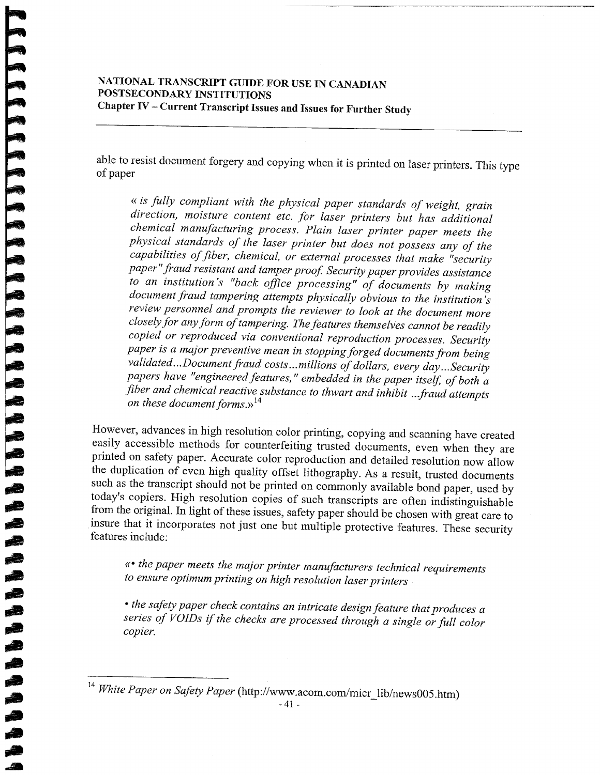### NATIONAL TRANSCRIPT GUIDE FOR USE IN CANADIAN POSTSECONDARY INSTITUTIONS Chapter IV - Current Transcript Issues and Issues for Further Study

able to resist document forgery and copying when it is printed on laser printers. This type of paper

« is fully compliant with the physical paper standards of weight, grain direction, moisture content etc. for laser printers but has additional chemical manufacturing process. Plain laser printer paper meets the physical standards of the laser printer but does not possess any of the capabilities of fiber, chemical, or external processes that make "security paper" fraud resistant and tamper proof. Security paper provides assistance to an institution's "back office processing" of documents by making document fraud tampering attempts physically obvious to the institution's review personnel and prompts the reviewer to look at the document more closely for any form of tampering. The features themselves cannot be readily copied or reproduced via conventional reproduction processes. Security paper is a major preventive mean in stopping forged documents from being validated...Document fraud costs...millions of dollars, every day...Security papers have "engineered features," embedded in the paper itself, of both a fiber and chemical reactive substance to thwart and inhibit ...fraud attempts on these document forms. $y^{14}$ 

However, advances in high resolution color printing, copying and scanning have created easily accessible methods for counterfeiting trusted documents, even when they are printed on safety paper. Accurate color reproduction and detailed resolution now allow the duplication of even high quality offset lithography. As a result, trusted documents such as the transcript should not be printed on commonly available bond paper, used by today's copiers. High resolution copies of such transcripts are often indistinguishable from the original. In light of these issues, safety paper should be chosen with great care to insure that it incorporates not just one but multiple protective features. These security features include:

«• the paper meets the major printer manufacturers technical requirements to ensure optimum printing on high resolution laser printers

• the safety paper check contains an intricate design feature that produces a series of VOIDs if the checks are processed through a single or full color copier.

<sup>&</sup>lt;sup>14</sup> White Paper on Safety Paper (http://www.acom.com/micr\_lib/news005.htm)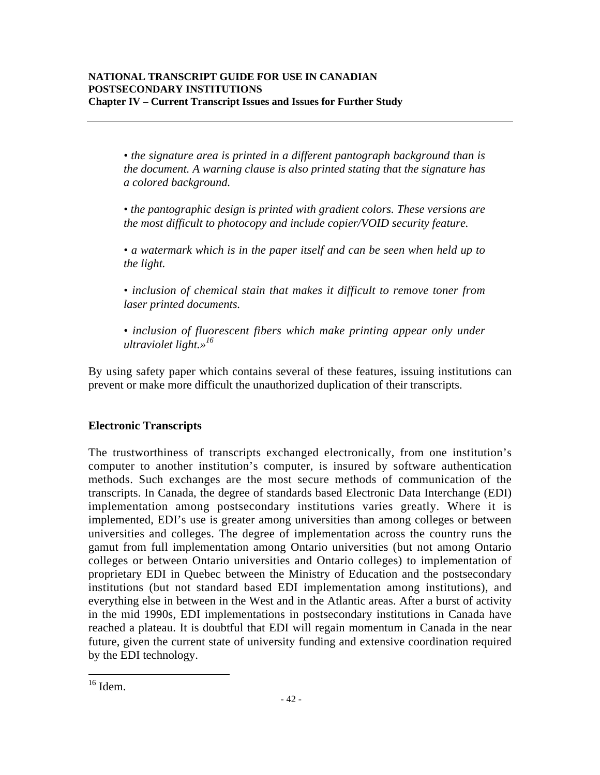*• the signature area is printed in a different pantograph background than is the document. A warning clause is also printed stating that the signature has a colored background.*

*• the pantographic design is printed with gradient colors. These versions are the most difficult to photocopy and include copier/VOID security feature.*

*• a watermark which is in the paper itself and can be seen when held up to the light.*

*• inclusion of chemical stain that makes it difficult to remove toner from laser printed documents.*

*• inclusion of fluorescent fibers which make printing appear only under ultraviolet light.»16*

By using safety paper which contains several of these features, issuing institutions can prevent or make more difficult the unauthorized duplication of their transcripts.

# **Electronic Transcripts**

The trustworthiness of transcripts exchanged electronically, from one institution's computer to another institution's computer, is insured by software authentication methods. Such exchanges are the most secure methods of communication of the transcripts. In Canada, the degree of standards based Electronic Data Interchange (EDI) implementation among postsecondary institutions varies greatly. Where it is implemented, EDI's use is greater among universities than among colleges or between universities and colleges. The degree of implementation across the country runs the gamut from full implementation among Ontario universities (but not among Ontario colleges or between Ontario universities and Ontario colleges) to implementation of proprietary EDI in Quebec between the Ministry of Education and the postsecondary institutions (but not standard based EDI implementation among institutions), and everything else in between in the West and in the Atlantic areas. After a burst of activity in the mid 1990s, EDI implementations in postsecondary institutions in Canada have reached a plateau. It is doubtful that EDI will regain momentum in Canada in the near future, given the current state of university funding and extensive coordination required by the EDI technology.

 $\frac{16}{16}$  Idem.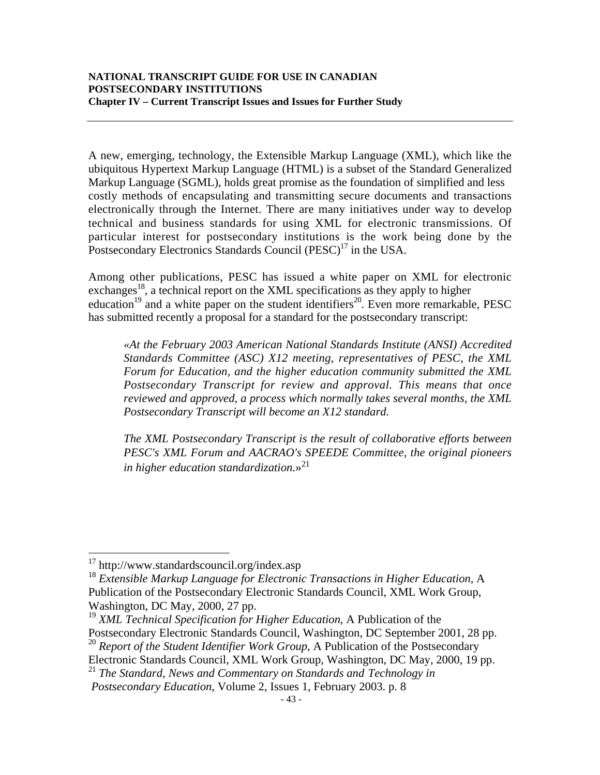A new, emerging, technology, the Extensible Markup Language (XML), which like the ubiquitous Hypertext Markup Language (HTML) is a subset of the Standard Generalized Markup Language (SGML), holds great promise as the foundation of simplified and less costly methods of encapsulating and transmitting secure documents and transactions electronically through the Internet. There are many initiatives under way to develop technical and business standards for using XML for electronic transmissions. Of particular interest for postsecondary institutions is the work being done by the Postsecondary Electronics Standards Council (PESC)<sup>17</sup> in the USA.

Among other publications, PESC has issued a white paper on XML for electronic exchanges<sup>18</sup>, a technical report on the XML specifications as they apply to higher education<sup>19</sup> and a white paper on the student identifiers<sup>20</sup>. Even more remarkable, PESC has submitted recently a proposal for a standard for the postsecondary transcript:

*«At the February 2003 American National Standards Institute (ANSI) Accredited Standards Committee (ASC) X12 meeting, representatives of PESC, the XML Forum for Education, and the higher education community submitted the XML Postsecondary Transcript for review and approval. This means that once reviewed and approved, a process which normally takes several months, the XML Postsecondary Transcript will become an X12 standard.*

*The XML Postsecondary Transcript is the result of collaborative efforts between PESC's XML Forum and AACRAO's SPEEDE Committee, the original pioneers in higher education standardization.*»<sup>21</sup>

Electronic Standards Council, XML Work Group, Washington, DC May, 2000, 19 pp.

 <sup>17</sup> http://www.standardscouncil.org/index.asp

<sup>18</sup> *Extensible Markup Language for Electronic Transactions in Higher Education*, A Publication of the Postsecondary Electronic Standards Council, XML Work Group, Washington, DC May, 2000, 27 pp.

<sup>19</sup> *XML Technical Specification for Higher Education*, A Publication of the

Postsecondary Electronic Standards Council, Washington, DC September 2001, 28 pp. <sup>20</sup> Report of the Student Identifier Work Group, A Publication of the Postsecondary

<sup>21</sup> *The Standard, News and Commentary on Standards and Technology in*

*Postsecondary Education*, Volume 2, Issues 1, February 2003. p. 8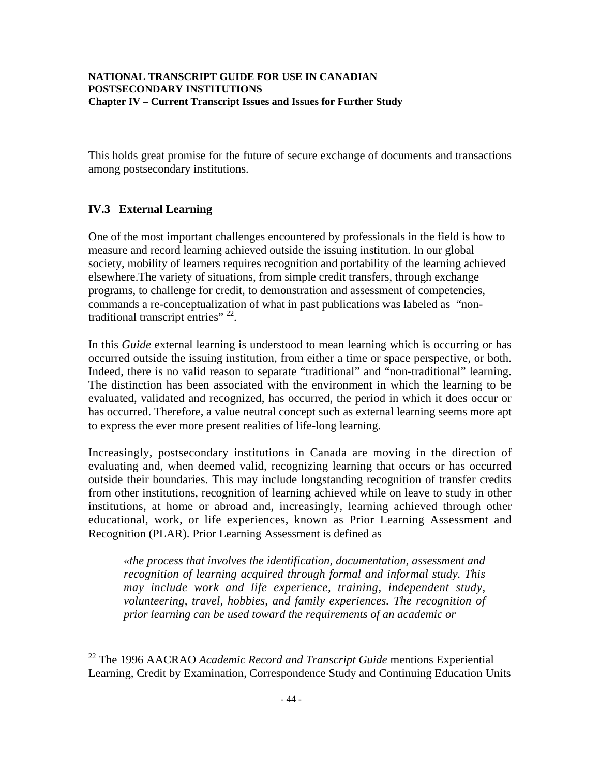This holds great promise for the future of secure exchange of documents and transactions among postsecondary institutions.

# **IV.3 External Learning**

One of the most important challenges encountered by professionals in the field is how to measure and record learning achieved outside the issuing institution. In our global society, mobility of learners requires recognition and portability of the learning achieved elsewhere.The variety of situations, from simple credit transfers, through exchange programs, to challenge for credit, to demonstration and assessment of competencies, commands a re-conceptualization of what in past publications was labeled as "nontraditional transcript entries"<sup>22</sup>.

In this *Guide* external learning is understood to mean learning which is occurring or has occurred outside the issuing institution, from either a time or space perspective, or both. Indeed, there is no valid reason to separate "traditional" and "non-traditional" learning. The distinction has been associated with the environment in which the learning to be evaluated, validated and recognized, has occurred, the period in which it does occur or has occurred. Therefore, a value neutral concept such as external learning seems more apt to express the ever more present realities of life-long learning.

Increasingly, postsecondary institutions in Canada are moving in the direction of evaluating and, when deemed valid, recognizing learning that occurs or has occurred outside their boundaries. This may include longstanding recognition of transfer credits from other institutions, recognition of learning achieved while on leave to study in other institutions, at home or abroad and, increasingly, learning achieved through other educational, work, or life experiences, known as Prior Learning Assessment and Recognition (PLAR). Prior Learning Assessment is defined as

*«the process that involves the identification, documentation, assessment and recognition of learning acquired through formal and informal study. This may include work and life experience, training, independent study, volunteering, travel, hobbies, and family experiences. The recognition of prior learning can be used toward the requirements of an academic or*

 <sup>22</sup> The 1996 AACRAO *Academic Record and Transcript Guide* mentions Experiential Learning, Credit by Examination, Correspondence Study and Continuing Education Units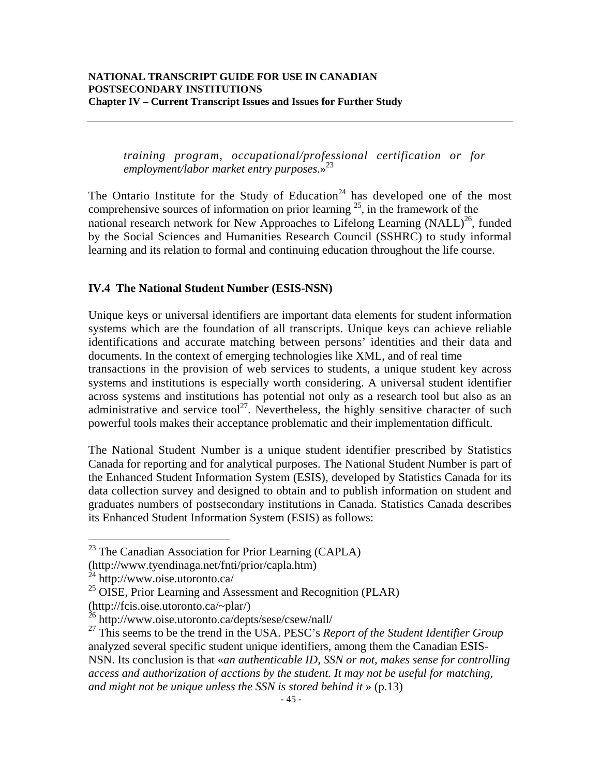*training program, occupational/professional certification or for employment/labor market entry purposes*.» 23

The Ontario Institute for the Study of Education<sup>24</sup> has developed one of the most comprehensive sources of information on prior learning  $2^5$ , in the framework of the national research network for New Approaches to Lifelong Learning (NALL)<sup>26</sup>, funded by the Social Sciences and Humanities Research Council (SSHRC) to study informal learning and its relation to formal and continuing education throughout the life course.

### **IV.4 The National Student Number (ESIS-NSN)**

Unique keys or universal identifiers are important data elements for student information systems which are the foundation of all transcripts. Unique keys can achieve reliable identifications and accurate matching between persons' identities and their data and documents. In the context of emerging technologies like XML, and of real time transactions in the provision of web services to students, a unique student key across systems and institutions is especially worth considering. A universal student identifier across systems and institutions has potential not only as a research tool but also as an administrative and service tool<sup>27</sup>. Nevertheless, the highly sensitive character of such powerful tools makes their acceptance problematic and their implementation difficult.

The National Student Number is a unique student identifier prescribed by Statistics Canada for reporting and for analytical purposes. The National Student Number is part of the Enhanced Student Information System (ESIS), developed by Statistics Canada for its data collection survey and designed to obtain and to publish information on student and graduates numbers of postsecondary institutions in Canada. Statistics Canada describes its Enhanced Student Information System (ESIS) as follows:

<sup>&</sup>lt;sup>23</sup> The Canadian Association for Prior Learning (CAPLA)

<sup>(</sup>http://www.tyendinaga.net/fnti/prior/capla.htm)

 $^{24}$  http://www.oise.utoronto.ca/

 $^{25}$  OISE, Prior Learning and Assessment and Recognition (PLAR)

<sup>(</sup>http://fcis.oise.utoronto.ca/~plar/)<br><sup>26</sup> http://www.oise.utoronto.ca/depts/sese/csew/nall/

<sup>27</sup> This seems to be the trend in the USA. PESC's *Report of the Student Identifier Group* analyzed several specific student unique identifiers, among them the Canadian ESIS-NSN. Its conclusion is that «*an authenticable ID, SSN or not, makes sense for controlling access and authorization of acctions by the student. It may not be useful for matching, and might not be unique unless the SSN is stored behind it* » (p.13)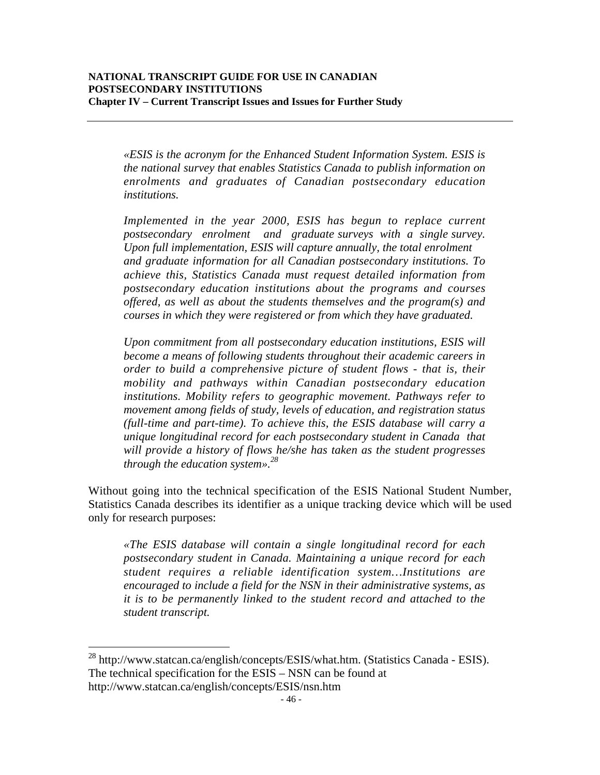*«ESIS is the acronym for the Enhanced Student Information System. ESIS is the national survey that enables Statistics Canada to publish information on enrolments and graduates of Canadian postsecondary education institutions.*

*Implemented in the year 2000, ESIS has begun to replace current postsecondary enrolment and graduate surveys with a single survey. Upon full implementation, ESIS will capture annually, the total enrolment and graduate information for all Canadian postsecondary institutions. To achieve this, Statistics Canada must request detailed information from postsecondary education institutions about the programs and courses offered, as well as about the students themselves and the program(s) and courses in which they were registered or from which they have graduated.*

*Upon commitment from all postsecondary education institutions, ESIS will become a means of following students throughout their academic careers in order to build a comprehensive picture of student flows - that is, their mobility and pathways within Canadian postsecondary education institutions. Mobility refers to geographic movement. Pathways refer to movement among fields of study, levels of education, and registration status (full-time and part-time). To achieve this, the ESIS database will carry a unique longitudinal record for each postsecondary student in Canada that will provide a history of flows he/she has taken as the student progresses through the education system».28*

Without going into the technical specification of the ESIS National Student Number, Statistics Canada describes its identifier as a unique tracking device which will be used only for research purposes:

*«The ESIS database will contain a single longitudinal record for each postsecondary student in Canada. Maintaining a unique record for each student requires a reliable identification system…Institutions are encouraged to include a field for the NSN in their administrative systems, as it is to be permanently linked to the student record and attached to the student transcript.*

 <sup>28</sup> http://www.statcan.ca/english/concepts/ESIS/what.htm. (Statistics Canada - ESIS). The technical specification for the ESIS – NSN can be found at http://www.statcan.ca/english/concepts/ESIS/nsn.htm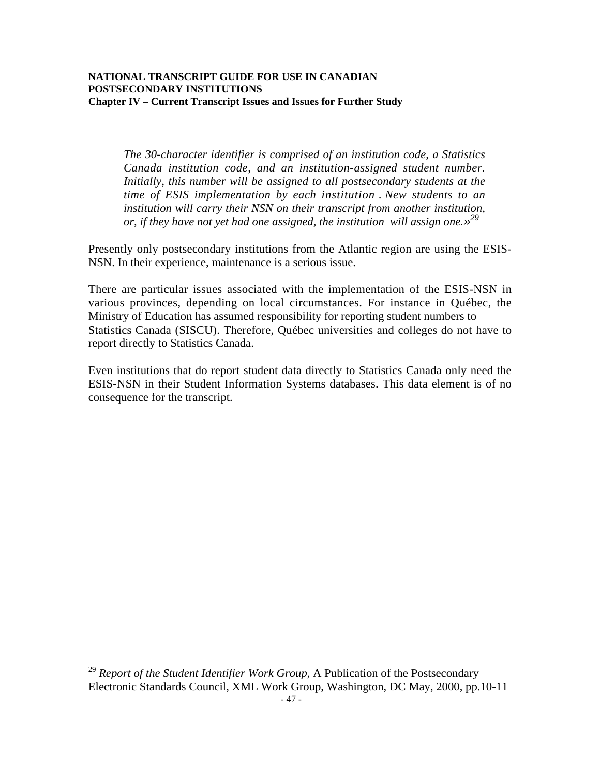*The 30-character identifier is comprised of an institution code, a Statistics Canada institution code, and an institution-assigned student number. Initially, this number will be assigned to all postsecondary students at the time of ESIS implementation by each institution* . *New students to an institution will carry their NSN on their transcript from another institution, or, if they have not yet had one assigned, the institution will assign one.»<sup>29</sup>*

Presently only postsecondary institutions from the Atlantic region are using the ESIS-NSN. In their experience, maintenance is a serious issue.

There are particular issues associated with the implementation of the ESIS-NSN in various provinces, depending on local circumstances. For instance in Québec, the Ministry of Education has assumed responsibility for reporting student numbers to Statistics Canada (SISCU). Therefore, Québec universities and colleges do not have to report directly to Statistics Canada.

Even institutions that do report student data directly to Statistics Canada only need the ESIS-NSN in their Student Information Systems databases. This data element is of no consequence for the transcript.

<sup>29</sup> Report of the Student Identifier Work Group, A Publication of the Postsecondary Electronic Standards Council, XML Work Group, Washington, DC May, 2000, pp.10-11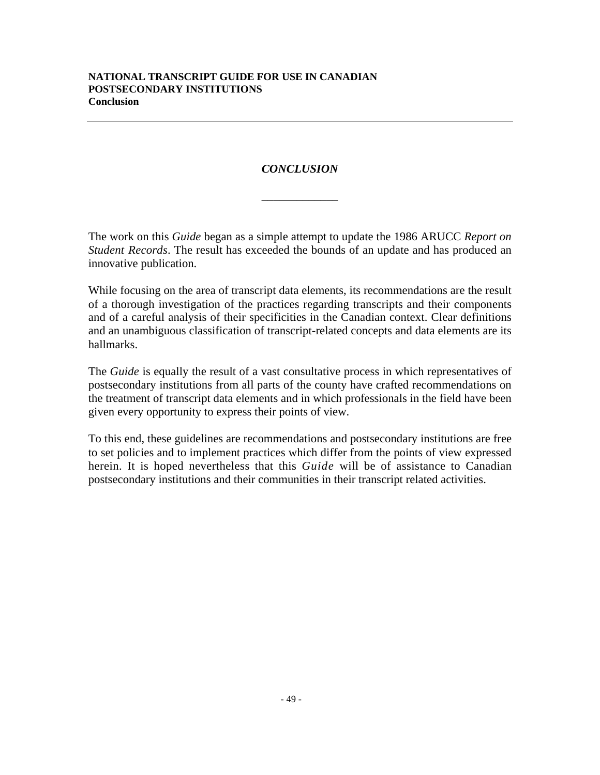# *CONCLUSION*

\_\_\_\_\_\_\_\_\_\_\_\_\_

The work on this *Guide* began as a simple attempt to update the 1986 ARUCC *Report on Student Records*. The result has exceeded the bounds of an update and has produced an innovative publication.

While focusing on the area of transcript data elements, its recommendations are the result of a thorough investigation of the practices regarding transcripts and their components and of a careful analysis of their specificities in the Canadian context. Clear definitions and an unambiguous classification of transcript-related concepts and data elements are its hallmarks.

The *Guide* is equally the result of a vast consultative process in which representatives of postsecondary institutions from all parts of the county have crafted recommendations on the treatment of transcript data elements and in which professionals in the field have been given every opportunity to express their points of view.

To this end, these guidelines are recommendations and postsecondary institutions are free to set policies and to implement practices which differ from the points of view expressed herein. It is hoped nevertheless that this *Guide* will be of assistance to Canadian postsecondary institutions and their communities in their transcript related activities.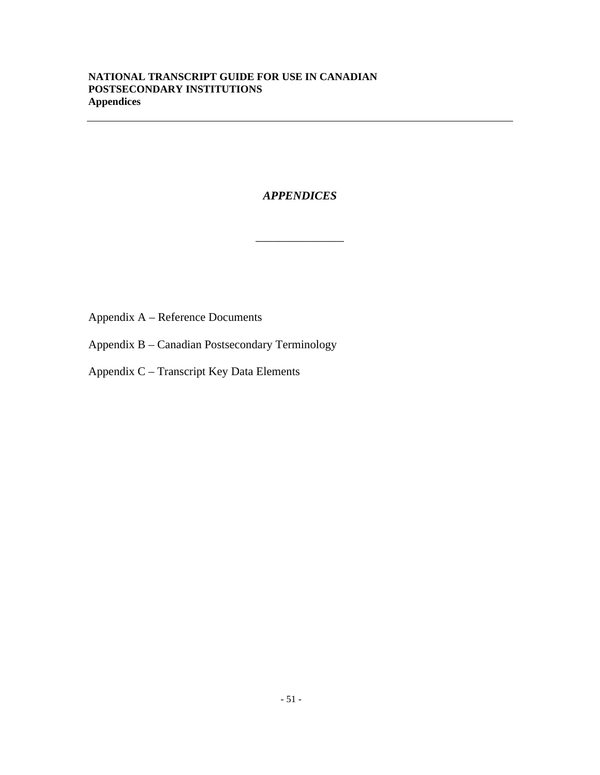# *APPENDICES*

\_\_\_\_\_\_\_\_\_\_\_\_\_\_\_

Appendix A – Reference Documents

Appendix B – Canadian Postsecondary Terminology

Appendix C – Transcript Key Data Elements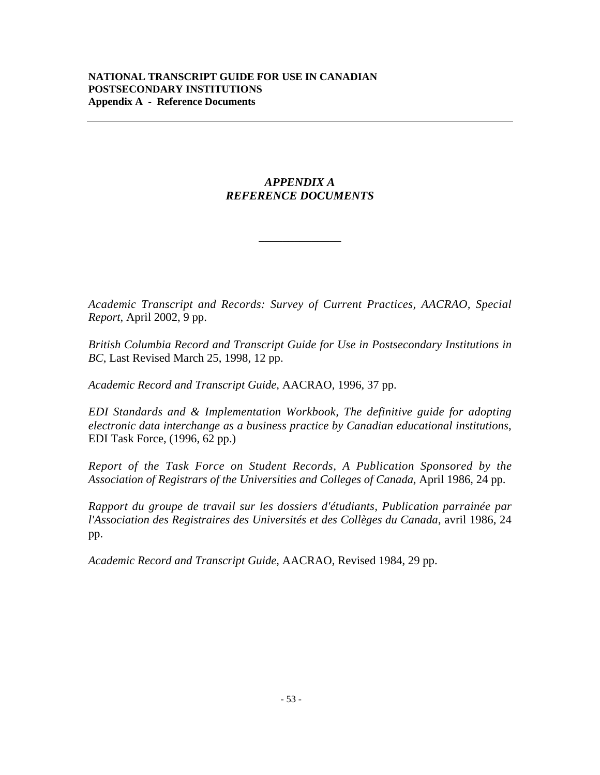# *APPENDIX A REFERENCE DOCUMENTS*

\_\_\_\_\_\_\_\_\_\_\_\_\_\_

*Academic Transcript and Records: Survey of Current Practices, AACRAO, Special Report*, April 2002, 9 pp.

*British Columbia Record and Transcript Guide for Use in Postsecondary Institutions in BC*, Last Revised March 25, 1998, 12 pp.

*Academic Record and Transcript Guide*, AACRAO, 1996, 37 pp.

*EDI Standards and & Implementation Workbook, The definitive guide for adopting electronic data interchange as a business practice by Canadian educational institutions*, EDI Task Force, (1996, 62 pp.)

*Report of the Task Force on Student Records, A Publication Sponsored by the Association of Registrars of the Universities and Colleges of Canada*, April 1986, 24 pp.

*Rapport du groupe de travail sur les dossiers d'étudiants, Publication parrainée par l'Association des Registraires des Universités et des Collèges du Canada*, avril 1986, 24 pp.

*Academic Record and Transcript Guide*, AACRAO, Revised 1984, 29 pp.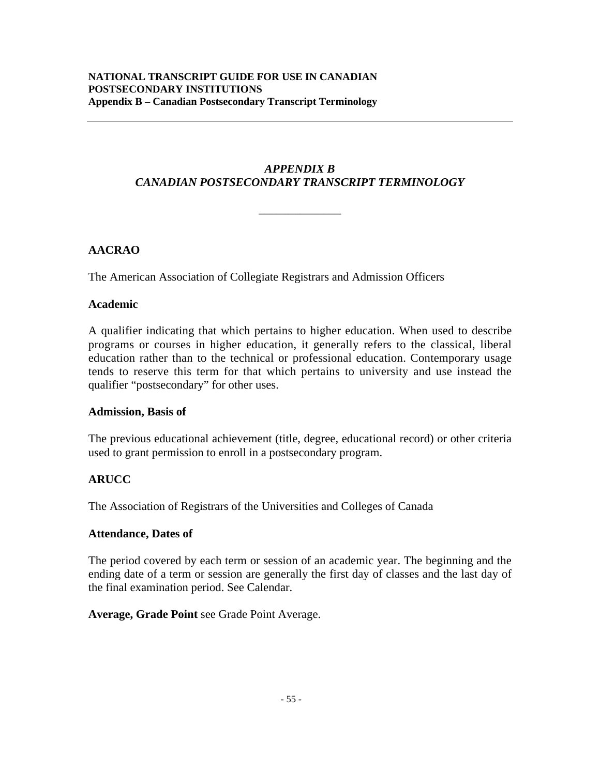# *APPENDIX B CANADIAN POSTSECONDARY TRANSCRIPT TERMINOLOGY*

\_\_\_\_\_\_\_\_\_\_\_\_\_\_

# **AACRAO**

The American Association of Collegiate Registrars and Admission Officers

### **Academic**

A qualifier indicating that which pertains to higher education. When used to describe programs or courses in higher education, it generally refers to the classical, liberal education rather than to the technical or professional education. Contemporary usage tends to reserve this term for that which pertains to university and use instead the qualifier "postsecondary" for other uses.

#### **Admission, Basis of**

The previous educational achievement (title, degree, educational record) or other criteria used to grant permission to enroll in a postsecondary program.

# **ARUCC**

The Association of Registrars of the Universities and Colleges of Canada

#### **Attendance, Dates of**

The period covered by each term or session of an academic year. The beginning and the ending date of a term or session are generally the first day of classes and the last day of the final examination period. See Calendar.

**Average, Grade Point** see Grade Point Average.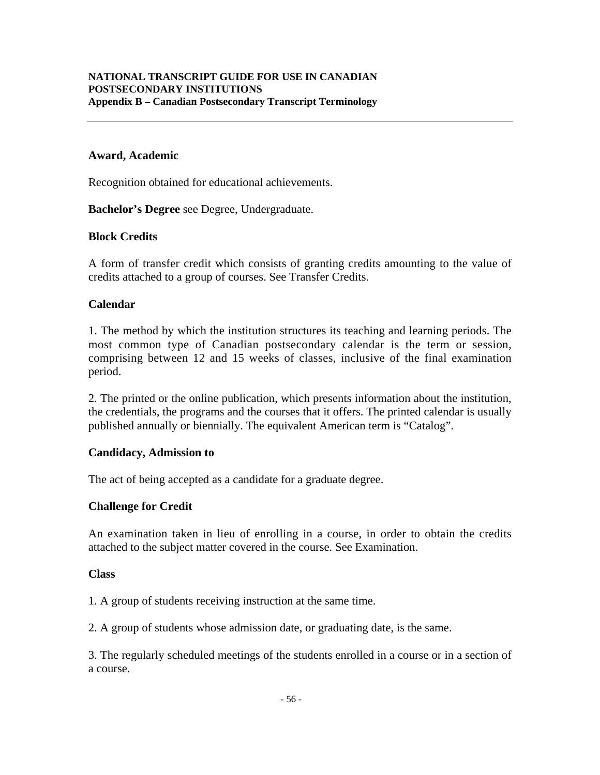### **Award, Academic**

Recognition obtained for educational achievements.

**Bachelor's Degree** see Degree, Undergraduate.

#### **Block Credits**

A form of transfer credit which consists of granting credits amounting to the value of credits attached to a group of courses. See Transfer Credits.

#### **Calendar**

1. The method by which the institution structures its teaching and learning periods. The most common type of Canadian postsecondary calendar is the term or session, comprising between 12 and 15 weeks of classes, inclusive of the final examination period.

2. The printed or the online publication, which presents information about the institution, the credentials, the programs and the courses that it offers. The printed calendar is usually published annually or biennially. The equivalent American term is "Catalog".

#### **Candidacy, Admission to**

The act of being accepted as a candidate for a graduate degree.

#### **Challenge for Credit**

An examination taken in lieu of enrolling in a course, in order to obtain the credits attached to the subject matter covered in the course. See Examination.

#### **Class**

1. A group of students receiving instruction at the same time.

2. A group of students whose admission date, or graduating date, is the same.

3. The regularly scheduled meetings of the students enrolled in a course or in a section of a course.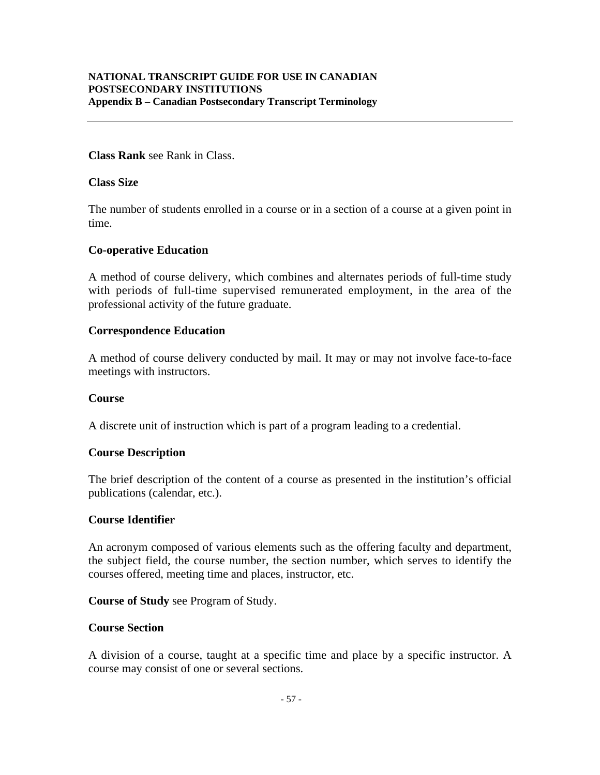# **Class Rank** see Rank in Class.

#### **Class Size**

The number of students enrolled in a course or in a section of a course at a given point in time.

#### **Co-operative Education**

A method of course delivery, which combines and alternates periods of full-time study with periods of full-time supervised remunerated employment, in the area of the professional activity of the future graduate.

#### **Correspondence Education**

A method of course delivery conducted by mail. It may or may not involve face-to-face meetings with instructors.

#### **Course**

A discrete unit of instruction which is part of a program leading to a credential.

#### **Course Description**

The brief description of the content of a course as presented in the institution's official publications (calendar, etc.).

#### **Course Identifier**

An acronym composed of various elements such as the offering faculty and department, the subject field, the course number, the section number, which serves to identify the courses offered, meeting time and places, instructor, etc.

#### **Course of Study** see Program of Study.

#### **Course Section**

A division of a course, taught at a specific time and place by a specific instructor. A course may consist of one or several sections.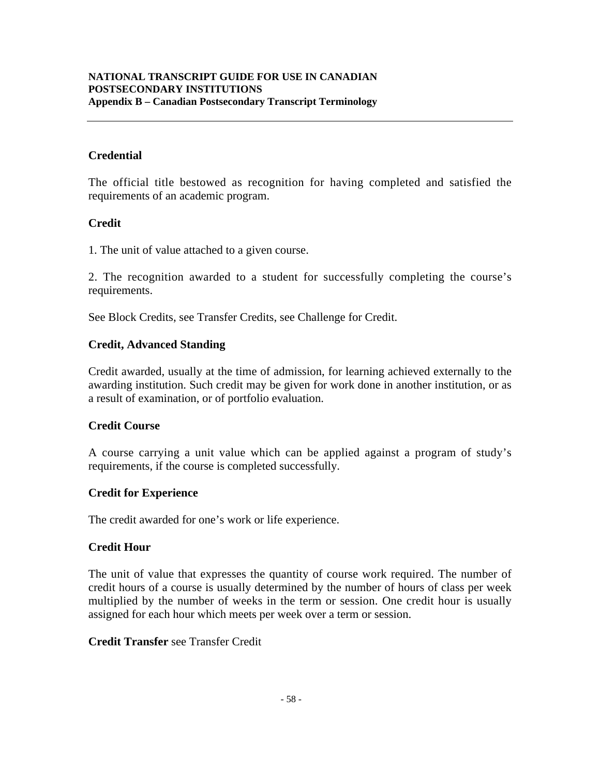#### **NATIONAL TRANSCRIPT GUIDE FOR USE IN CANADIAN POSTSECONDARY INSTITUTIONS Appendix B – Canadian Postsecondary Transcript Terminology**

# **Credential**

The official title bestowed as recognition for having completed and satisfied the requirements of an academic program.

### **Credit**

1. The unit of value attached to a given course.

2. The recognition awarded to a student for successfully completing the course's requirements.

See Block Credits, see Transfer Credits, see Challenge for Credit.

### **Credit, Advanced Standing**

Credit awarded, usually at the time of admission, for learning achieved externally to the awarding institution. Such credit may be given for work done in another institution, or as a result of examination, or of portfolio evaluation.

#### **Credit Course**

A course carrying a unit value which can be applied against a program of study's requirements, if the course is completed successfully.

#### **Credit for Experience**

The credit awarded for one's work or life experience.

#### **Credit Hour**

The unit of value that expresses the quantity of course work required. The number of credit hours of a course is usually determined by the number of hours of class per week multiplied by the number of weeks in the term or session. One credit hour is usually assigned for each hour which meets per week over a term or session.

#### **Credit Transfer** see Transfer Credit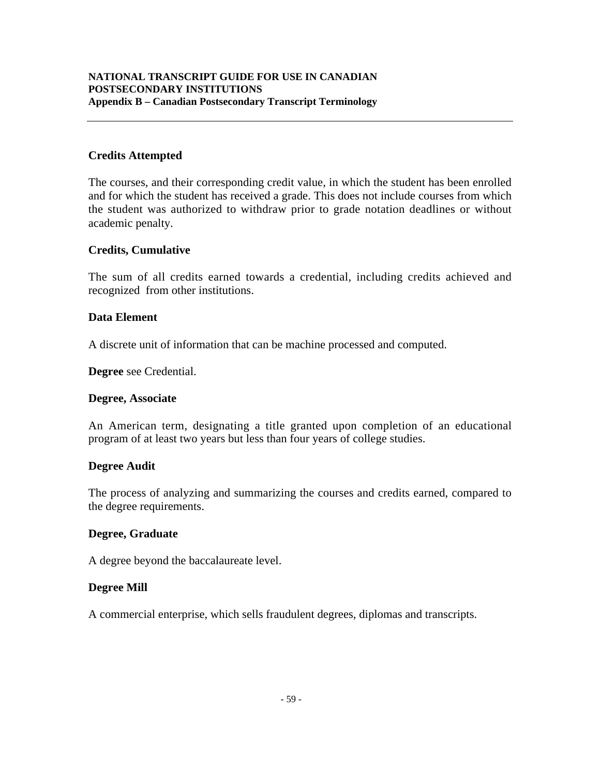### **Credits Attempted**

The courses, and their corresponding credit value, in which the student has been enrolled and for which the student has received a grade. This does not include courses from which the student was authorized to withdraw prior to grade notation deadlines or without academic penalty.

#### **Credits, Cumulative**

The sum of all credits earned towards a credential, including credits achieved and recognized from other institutions.

#### **Data Element**

A discrete unit of information that can be machine processed and computed.

**Degree** see Credential.

#### **Degree, Associate**

An American term, designating a title granted upon completion of an educational program of at least two years but less than four years of college studies.

#### **Degree Audit**

The process of analyzing and summarizing the courses and credits earned, compared to the degree requirements.

#### **Degree, Graduate**

A degree beyond the baccalaureate level.

#### **Degree Mill**

A commercial enterprise, which sells fraudulent degrees, diplomas and transcripts.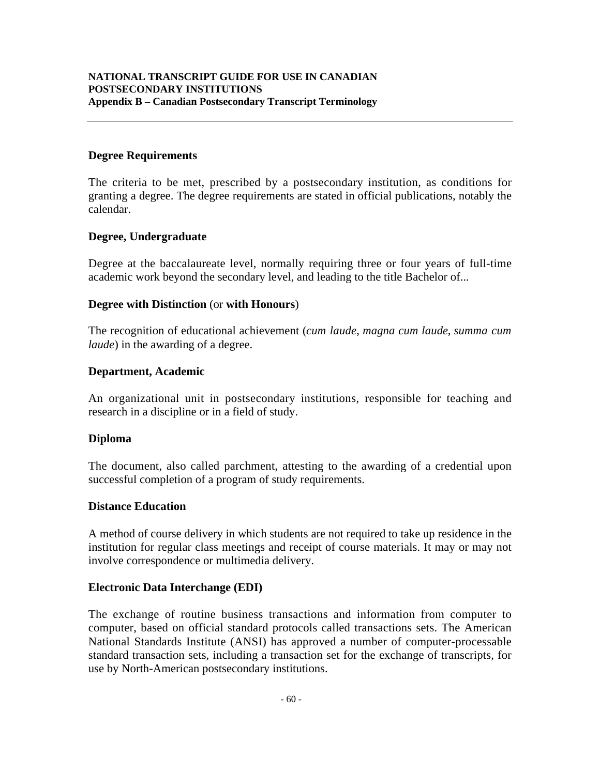#### **Degree Requirements**

The criteria to be met, prescribed by a postsecondary institution, as conditions for granting a degree. The degree requirements are stated in official publications, notably the calendar.

#### **Degree, Undergraduate**

Degree at the baccalaureate level, normally requiring three or four years of full-time academic work beyond the secondary level, and leading to the title Bachelor of...

#### **Degree with Distinction** (or **with Honours**)

The recognition of educational achievement (*cum laude*, *magna cum laude*, *summa cum laude*) in the awarding of a degree.

#### **Department, Academic**

An organizational unit in postsecondary institutions, responsible for teaching and research in a discipline or in a field of study.

#### **Diploma**

The document, also called parchment, attesting to the awarding of a credential upon successful completion of a program of study requirements.

#### **Distance Education**

A method of course delivery in which students are not required to take up residence in the institution for regular class meetings and receipt of course materials. It may or may not involve correspondence or multimedia delivery.

#### **Electronic Data Interchange (EDI)**

The exchange of routine business transactions and information from computer to computer, based on official standard protocols called transactions sets. The American National Standards Institute (ANSI) has approved a number of computer-processable standard transaction sets, including a transaction set for the exchange of transcripts, for use by North-American postsecondary institutions.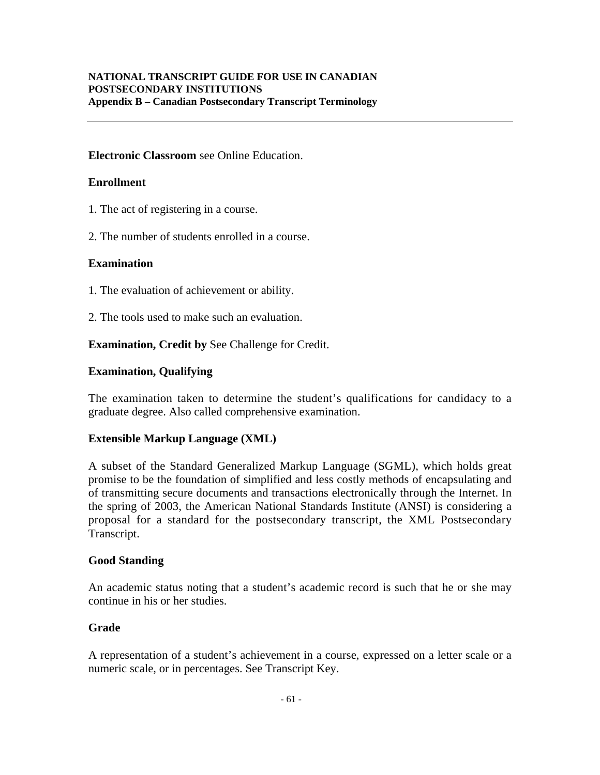### **Electronic Classroom** see Online Education.

### **Enrollment**

- 1. The act of registering in a course.
- 2. The number of students enrolled in a course.

#### **Examination**

- 1. The evaluation of achievement or ability.
- 2. The tools used to make such an evaluation.

**Examination, Credit by** See Challenge for Credit.

### **Examination, Qualifying**

The examination taken to determine the student's qualifications for candidacy to a graduate degree. Also called comprehensive examination.

#### **Extensible Markup Language (XML)**

A subset of the Standard Generalized Markup Language (SGML), which holds great promise to be the foundation of simplified and less costly methods of encapsulating and of transmitting secure documents and transactions electronically through the Internet. In the spring of 2003, the American National Standards Institute (ANSI) is considering a proposal for a standard for the postsecondary transcript, the XML Postsecondary Transcript.

#### **Good Standing**

An academic status noting that a student's academic record is such that he or she may continue in his or her studies.

#### **Grade**

A representation of a student's achievement in a course, expressed on a letter scale or a numeric scale, or in percentages. See Transcript Key.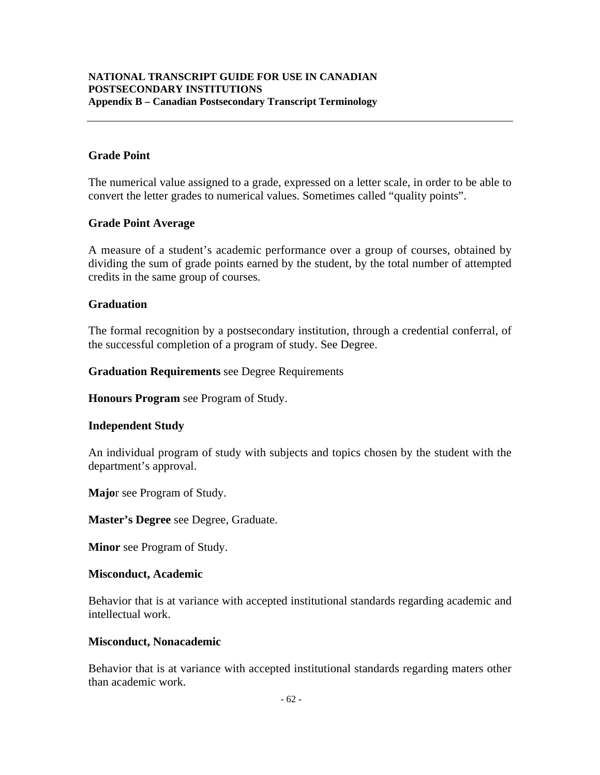### **Grade Point**

The numerical value assigned to a grade, expressed on a letter scale, in order to be able to convert the letter grades to numerical values. Sometimes called "quality points".

### **Grade Point Average**

A measure of a student's academic performance over a group of courses, obtained by dividing the sum of grade points earned by the student, by the total number of attempted credits in the same group of courses.

### **Graduation**

The formal recognition by a postsecondary institution, through a credential conferral, of the successful completion of a program of study. See Degree.

**Graduation Requirements** see Degree Requirements

**Honours Program** see Program of Study.

#### **Independent Study**

An individual program of study with subjects and topics chosen by the student with the department's approval.

**Majo**r see Program of Study.

**Master's Degree** see Degree, Graduate.

**Minor** see Program of Study.

#### **Misconduct, Academic**

Behavior that is at variance with accepted institutional standards regarding academic and intellectual work.

#### **Misconduct, Nonacademic**

Behavior that is at variance with accepted institutional standards regarding maters other than academic work.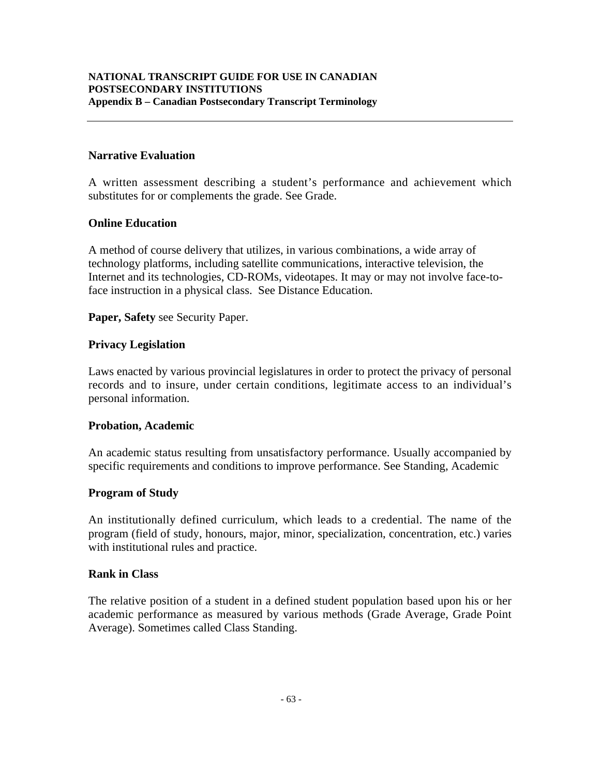### **Narrative Evaluation**

A written assessment describing a student's performance and achievement which substitutes for or complements the grade. See Grade.

### **Online Education**

A method of course delivery that utilizes, in various combinations, a wide array of technology platforms, including satellite communications, interactive television, the Internet and its technologies, CD-ROMs, videotapes. It may or may not involve face-toface instruction in a physical class. See Distance Education.

**Paper, Safety** see Security Paper.

### **Privacy Legislation**

Laws enacted by various provincial legislatures in order to protect the privacy of personal records and to insure, under certain conditions, legitimate access to an individual's personal information.

#### **Probation, Academic**

An academic status resulting from unsatisfactory performance. Usually accompanied by specific requirements and conditions to improve performance. See Standing, Academic

#### **Program of Study**

An institutionally defined curriculum, which leads to a credential. The name of the program (field of study, honours, major, minor, specialization, concentration, etc.) varies with institutional rules and practice.

#### **Rank in Class**

The relative position of a student in a defined student population based upon his or her academic performance as measured by various methods (Grade Average, Grade Point Average). Sometimes called Class Standing.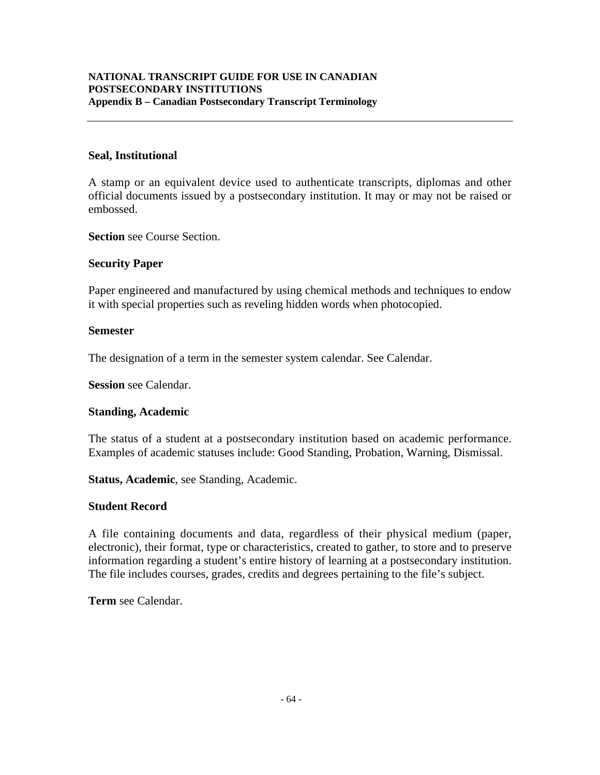### **Seal, Institutional**

A stamp or an equivalent device used to authenticate transcripts, diplomas and other official documents issued by a postsecondary institution. It may or may not be raised or embossed.

**Section** see Course Section.

# **Security Paper**

Paper engineered and manufactured by using chemical methods and techniques to endow it with special properties such as reveling hidden words when photocopied.

#### **Semester**

The designation of a term in the semester system calendar. See Calendar.

**Session** see Calendar.

# **Standing, Academic**

The status of a student at a postsecondary institution based on academic performance. Examples of academic statuses include: Good Standing, Probation, Warning, Dismissal.

**Status, Academic**, see Standing, Academic.

# **Student Record**

A file containing documents and data, regardless of their physical medium (paper, electronic), their format, type or characteristics, created to gather, to store and to preserve information regarding a student's entire history of learning at a postsecondary institution. The file includes courses, grades, credits and degrees pertaining to the file's subject.

**Term** see Calendar.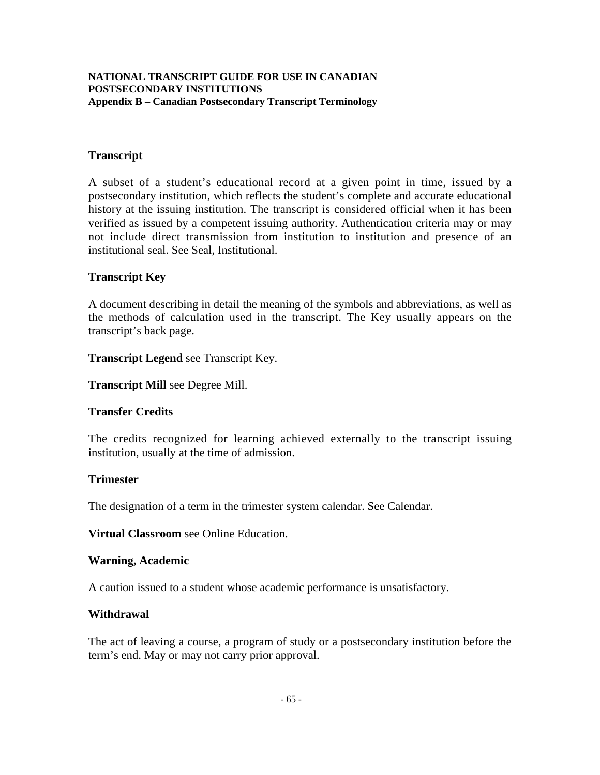### **Transcript**

A subset of a student's educational record at a given point in time, issued by a postsecondary institution, which reflects the student's complete and accurate educational history at the issuing institution. The transcript is considered official when it has been verified as issued by a competent issuing authority. Authentication criteria may or may not include direct transmission from institution to institution and presence of an institutional seal. See Seal, Institutional.

### **Transcript Key**

A document describing in detail the meaning of the symbols and abbreviations, as well as the methods of calculation used in the transcript. The Key usually appears on the transcript's back page.

**Transcript Legend** see Transcript Key.

**Transcript Mill** see Degree Mill.

#### **Transfer Credits**

The credits recognized for learning achieved externally to the transcript issuing institution, usually at the time of admission.

#### **Trimester**

The designation of a term in the trimester system calendar. See Calendar.

**Virtual Classroom** see Online Education.

#### **Warning, Academic**

A caution issued to a student whose academic performance is unsatisfactory.

#### **Withdrawal**

The act of leaving a course, a program of study or a postsecondary institution before the term's end. May or may not carry prior approval.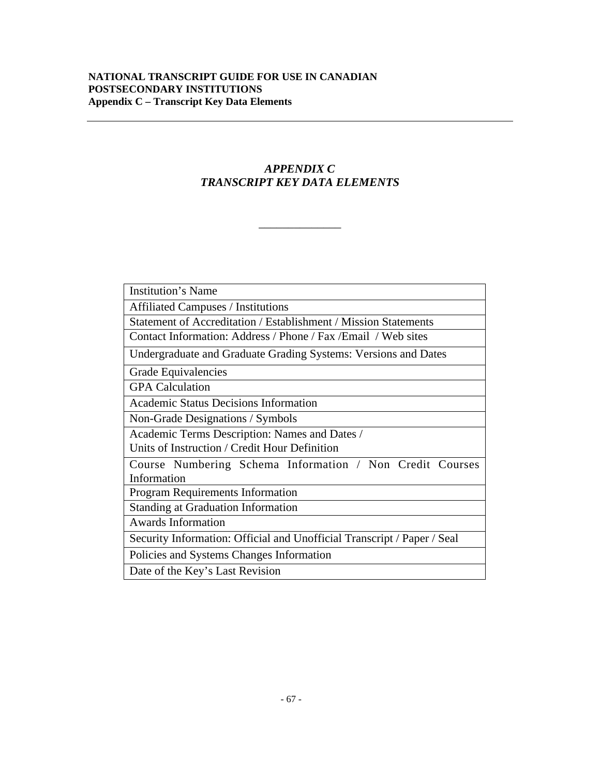# *APPENDIX C TRANSCRIPT KEY DATA ELEMENTS*

\_\_\_\_\_\_\_\_\_\_\_\_\_\_

| Institution's Name                                                      |  |
|-------------------------------------------------------------------------|--|
| <b>Affiliated Campuses / Institutions</b>                               |  |
| Statement of Accreditation / Establishment / Mission Statements         |  |
| Contact Information: Address / Phone / Fax / Email / Web sites          |  |
| Undergraduate and Graduate Grading Systems: Versions and Dates          |  |
| Grade Equivalencies                                                     |  |
| <b>GPA</b> Calculation                                                  |  |
| <b>Academic Status Decisions Information</b>                            |  |
| Non-Grade Designations / Symbols                                        |  |
| Academic Terms Description: Names and Dates /                           |  |
| Units of Instruction / Credit Hour Definition                           |  |
| Course Numbering Schema Information / Non Credit Courses                |  |
| Information                                                             |  |
| <b>Program Requirements Information</b>                                 |  |
| Standing at Graduation Information                                      |  |
| <b>Awards Information</b>                                               |  |
| Security Information: Official and Unofficial Transcript / Paper / Seal |  |
| Policies and Systems Changes Information                                |  |
| Date of the Key's Last Revision                                         |  |
|                                                                         |  |